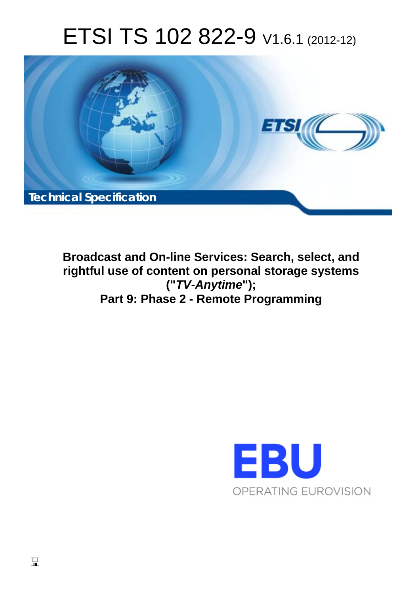# ETSI TS 102 822-9 V1.6.1 (2012-12)



**Broadcast and On-line Services: Search, select, and rightful use of content on personal storage systems ("***TV-Anytime***"); Part 9: Phase 2 - Remote Programming** 

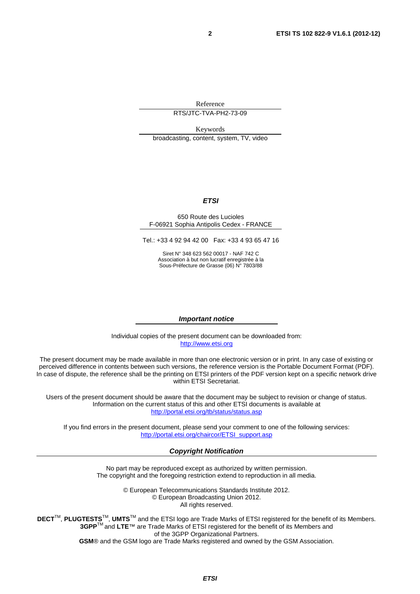Reference

RTS/JTC-TVA-PH2-73-09

Keywords broadcasting, content, system, TV, video

#### *ETSI*

#### 650 Route des Lucioles F-06921 Sophia Antipolis Cedex - FRANCE

Tel.: +33 4 92 94 42 00 Fax: +33 4 93 65 47 16

Siret N° 348 623 562 00017 - NAF 742 C Association à but non lucratif enregistrée à la Sous-Préfecture de Grasse (06) N° 7803/88

#### *Important notice*

Individual copies of the present document can be downloaded from: [http://www.etsi.org](http://www.etsi.org/)

The present document may be made available in more than one electronic version or in print. In any case of existing or perceived difference in contents between such versions, the reference version is the Portable Document Format (PDF). In case of dispute, the reference shall be the printing on ETSI printers of the PDF version kept on a specific network drive within ETSI Secretariat.

Users of the present document should be aware that the document may be subject to revision or change of status. Information on the current status of this and other ETSI documents is available at <http://portal.etsi.org/tb/status/status.asp>

If you find errors in the present document, please send your comment to one of the following services: [http://portal.etsi.org/chaircor/ETSI\\_support.asp](http://portal.etsi.org/chaircor/ETSI_support.asp)

#### *Copyright Notification*

No part may be reproduced except as authorized by written permission. The copyright and the foregoing restriction extend to reproduction in all media.

> © European Telecommunications Standards Institute 2012. © European Broadcasting Union 2012. All rights reserved.

**DECT**TM, **PLUGTESTS**TM, **UMTS**TM and the ETSI logo are Trade Marks of ETSI registered for the benefit of its Members. **3GPP**TM and **LTE**™ are Trade Marks of ETSI registered for the benefit of its Members and of the 3GPP Organizational Partners. **GSM**® and the GSM logo are Trade Marks registered and owned by the GSM Association.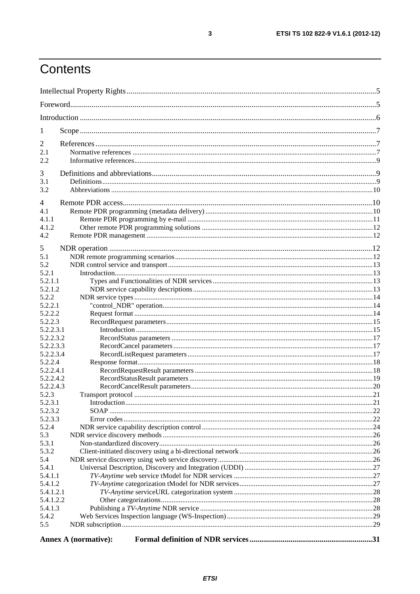# Contents

| 1                      |                             |  |
|------------------------|-----------------------------|--|
| 2                      |                             |  |
| 2.1                    |                             |  |
| 2.2                    |                             |  |
| 3                      |                             |  |
| 3.1                    |                             |  |
| 3.2                    |                             |  |
| $\overline{4}$         |                             |  |
| 4.1                    |                             |  |
| 4.1.1                  |                             |  |
| 4.1.2                  |                             |  |
| 4.2                    |                             |  |
| 5                      |                             |  |
| 5.1                    |                             |  |
| 5.2                    |                             |  |
| 5.2.1                  |                             |  |
| 5.2.1.1                |                             |  |
| 5.2.1.2                |                             |  |
| 5.2.2                  |                             |  |
| 5.2.2.1                |                             |  |
| 5.2.2.2                |                             |  |
| 5.2.2.3                |                             |  |
| 5.2.2.3.1              |                             |  |
| 5.2.2.3.2<br>5.2.2.3.3 |                             |  |
| 5.2.2.3.4              |                             |  |
| 5.2.2.4                |                             |  |
| 5.2.2.4.1              |                             |  |
| 5.2.2.4.2              |                             |  |
| 5.2.2.4.3              |                             |  |
| 5.2.3                  |                             |  |
| 5.2.3.1                |                             |  |
| 5.2.3.2                |                             |  |
| 5.2.3.3                |                             |  |
| 5.2.4                  |                             |  |
| 5.3                    |                             |  |
| 5.3.1                  |                             |  |
| 5.3.2                  |                             |  |
| 5.4                    |                             |  |
| 5.4.1                  |                             |  |
| 5.4.1.1                |                             |  |
| 5.4.1.2                |                             |  |
| 5.4.1.2.1              |                             |  |
| 5.4.1.2.2              |                             |  |
| 5.4.1.3                |                             |  |
| 5.4.2                  |                             |  |
| 5.5                    |                             |  |
|                        | <b>Annex A (normative):</b> |  |

 $\mathbf{3}$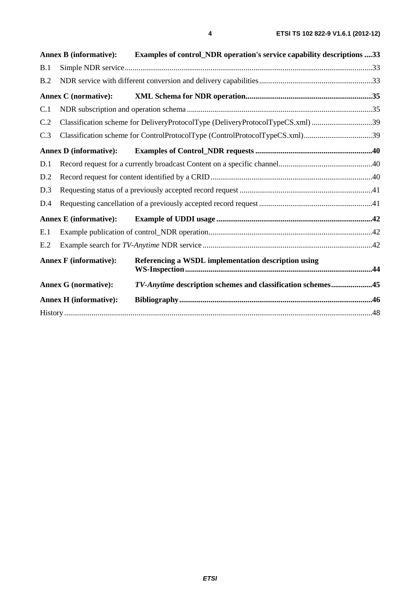|     | <b>Annex B (informative):</b> | Examples of control_NDR operation's service capability descriptions 33         |  |
|-----|-------------------------------|--------------------------------------------------------------------------------|--|
| B.1 |                               |                                                                                |  |
| B.2 |                               |                                                                                |  |
|     | <b>Annex C</b> (normative):   |                                                                                |  |
| C.1 |                               |                                                                                |  |
| C.2 |                               | Classification scheme for DeliveryProtocolType (DeliveryProtocolTypeCS.xml) 39 |  |
| C.3 |                               | Classification scheme for ControlProtocolType (ControlProtocolTypeCS.xml)39    |  |
|     | <b>Annex D</b> (informative): |                                                                                |  |
| D.1 |                               |                                                                                |  |
| D.2 |                               |                                                                                |  |
| D.3 |                               |                                                                                |  |
| D.4 |                               |                                                                                |  |
|     | <b>Annex E</b> (informative): |                                                                                |  |
| E.1 |                               |                                                                                |  |
| E.2 |                               |                                                                                |  |
|     | <b>Annex F</b> (informative): | Referencing a WSDL implementation description using                            |  |
|     | <b>Annex G (normative):</b>   | TV-Anytime description schemes and classification schemes45                    |  |
|     | <b>Annex H</b> (informative): |                                                                                |  |
|     |                               |                                                                                |  |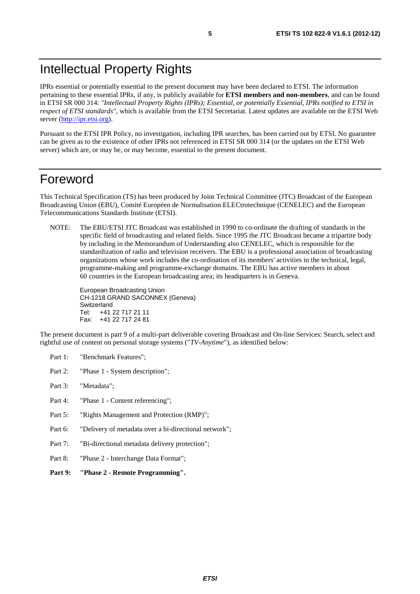# Intellectual Property Rights

IPRs essential or potentially essential to the present document may have been declared to ETSI. The information pertaining to these essential IPRs, if any, is publicly available for **ETSI members and non-members**, and can be found in ETSI SR 000 314: *"Intellectual Property Rights (IPRs); Essential, or potentially Essential, IPRs notified to ETSI in respect of ETSI standards"*, which is available from the ETSI Secretariat. Latest updates are available on the ETSI Web server [\(http://ipr.etsi.org](http://webapp.etsi.org/IPR/home.asp)).

Pursuant to the ETSI IPR Policy, no investigation, including IPR searches, has been carried out by ETSI. No guarantee can be given as to the existence of other IPRs not referenced in ETSI SR 000 314 (or the updates on the ETSI Web server) which are, or may be, or may become, essential to the present document.

### Foreword

This Technical Specification (TS) has been produced by Joint Technical Committee (JTC) Broadcast of the European Broadcasting Union (EBU), Comité Européen de Normalisation ELECtrotechnique (CENELEC) and the European Telecommunications Standards Institute (ETSI).

NOTE: The EBU/ETSI JTC Broadcast was established in 1990 to co-ordinate the drafting of standards in the specific field of broadcasting and related fields. Since 1995 the JTC Broadcast became a tripartite body by including in the Memorandum of Understanding also CENELEC, which is responsible for the standardization of radio and television receivers. The EBU is a professional association of broadcasting organizations whose work includes the co-ordination of its members' activities in the technical, legal, programme-making and programme-exchange domains. The EBU has active members in about 60 countries in the European broadcasting area; its headquarters is in Geneva.

European Broadcasting Union CH-1218 GRAND SACONNEX (Geneva) Switzerland Tel: +41 22 717 21 11 Fax: +41 22 717 24 81

The present document is part 9 of a multi-part deliverable covering Broadcast and On-line Services: Search, select and rightful use of content on personal storage systems ("*TV-Anytime*"), as identified below:

- Part 1: "Benchmark Features";
- Part 2: "Phase 1 System description";
- Part 3: "Metadata";
- Part 4: "Phase 1 Content referencing":
- Part 5: "Rights Management and Protection (RMP)";
- Part 6: "Delivery of metadata over a bi-directional network";
- Part 7: "Bi-directional metadata delivery protection";
- Part 8: "Phase 2 Interchange Data Format";
- **Part 9: "Phase 2 Remote Programming".**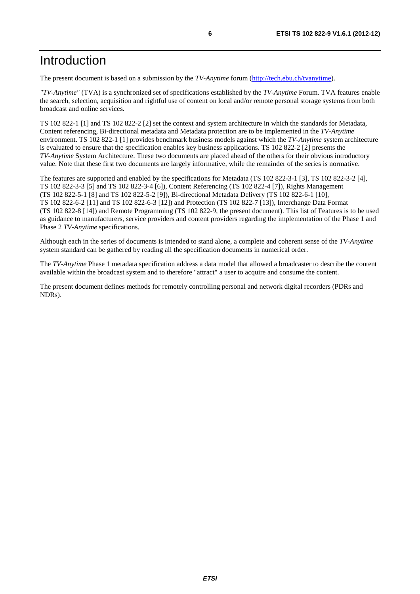### Introduction

The present document is based on a submission by the *TV-Anytime* forum [\(http://tech.ebu.ch/tvanytime\)](http://www.tv-anytime.org/).

*"TV-Anytime"* (TVA) is a synchronized set of specifications established by the *TV-Anytime* Forum. TVA features enable the search, selection, acquisition and rightful use of content on local and/or remote personal storage systems from both broadcast and online services.

TS 102 822-1 [1] and TS 102 822-2 [2] set the context and system architecture in which the standards for Metadata, Content referencing, Bi-directional metadata and Metadata protection are to be implemented in the *TV-Anytime* environment. TS 102 822-1 [1] provides benchmark business models against which the *TV-Anytime* system architecture is evaluated to ensure that the specification enables key business applications. TS 102 822-2 [2] presents the *TV-Anytime* System Architecture. These two documents are placed ahead of the others for their obvious introductory value. Note that these first two documents are largely informative, while the remainder of the series is normative.

The features are supported and enabled by the specifications for Metadata (TS 102 822-3-1 [3], TS 102 822-3-2 [4], TS 102 822-3-3 [5] and TS 102 822-3-4 [6]), Content Referencing (TS 102 822-4 [7]), Rights Management (TS 102 822-5-1 [8] and TS 102 822-5-2 [9]), Bi-directional Metadata Delivery (TS 102 822-6-1 [10], TS 102 822-6-2 [11] and TS 102 822-6-3 [12]) and Protection (TS 102 822-7 [13]), Interchange Data Format (TS 102 822-8 [14]) and Remote Programming (TS 102 822-9, the present document). This list of Features is to be used as guidance to manufacturers, service providers and content providers regarding the implementation of the Phase 1 and Phase 2 *TV-Anytime* specifications.

Although each in the series of documents is intended to stand alone, a complete and coherent sense of the *TV-Anytime* system standard can be gathered by reading all the specification documents in numerical order.

The *TV-Anytime* Phase 1 metadata specification address a data model that allowed a broadcaster to describe the content available within the broadcast system and to therefore "attract" a user to acquire and consume the content.

The present document defines methods for remotely controlling personal and network digital recorders (PDRs and NDRs).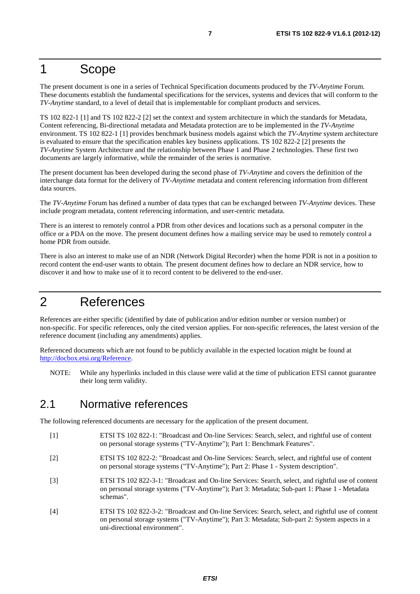### 1 Scope

The present document is one in a series of Technical Specification documents produced by the *TV-Anytime* Forum. These documents establish the fundamental specifications for the services, systems and devices that will conform to the *TV-Anytime* standard, to a level of detail that is implementable for compliant products and services.

TS 102 822-1 [1] and TS 102 822-2 [2] set the context and system architecture in which the standards for Metadata, Content referencing, Bi-directional metadata and Metadata protection are to be implemented in the *TV-Anytime* environment. TS 102 822-1 [1] provides benchmark business models against which the *TV-Anytime* system architecture is evaluated to ensure that the specification enables key business applications. TS 102 822-2 [2] presents the *TV-Anytime* System Architecture and the relationship between Phase 1 and Phase 2 technologies. These first two documents are largely informative, while the remainder of the series is normative.

The present document has been developed during the second phase of *TV-Anytime* and covers the definition of the interchange data format for the delivery of *TV-Anytime* metadata and content referencing information from different data sources.

The *TV-Anytime* Forum has defined a number of data types that can be exchanged between *TV-Anytime* devices. These include program metadata, content referencing information, and user-centric metadata.

There is an interest to remotely control a PDR from other devices and locations such as a personal computer in the office or a PDA on the move. The present document defines how a mailing service may be used to remotely control a home PDR from outside.

There is also an interest to make use of an NDR (Network Digital Recorder) when the home PDR is not in a position to record content the end-user wants to obtain. The present document defines how to declare an NDR service, how to discover it and how to make use of it to record content to be delivered to the end-user.

### 2 References

References are either specific (identified by date of publication and/or edition number or version number) or non-specific. For specific references, only the cited version applies. For non-specific references, the latest version of the reference document (including any amendments) applies.

Referenced documents which are not found to be publicly available in the expected location might be found at [http://docbox.etsi.org/Reference.](http://docbox.etsi.org/Reference)

NOTE: While any hyperlinks included in this clause were valid at the time of publication ETSI cannot guarantee their long term validity.

### 2.1 Normative references

The following referenced documents are necessary for the application of the present document.

- [1] ETSI TS 102 822-1: "Broadcast and On-line Services: Search, select, and rightful use of content on personal storage systems ("TV-Anytime"); Part 1: Benchmark Features".
- [2] ETSI TS 102 822-2: "Broadcast and On-line Services: Search, select, and rightful use of content on personal storage systems ("TV-Anytime"); Part 2: Phase 1 - System description".
- [3] ETSI TS 102 822-3-1: "Broadcast and On-line Services: Search, select, and rightful use of content on personal storage systems ("TV-Anytime"); Part 3: Metadata; Sub-part 1: Phase 1 - Metadata schemas".
- [4] ETSI TS 102 822-3-2: "Broadcast and On-line Services: Search, select, and rightful use of content on personal storage systems ("TV-Anytime"); Part 3: Metadata; Sub-part 2: System aspects in a uni-directional environment".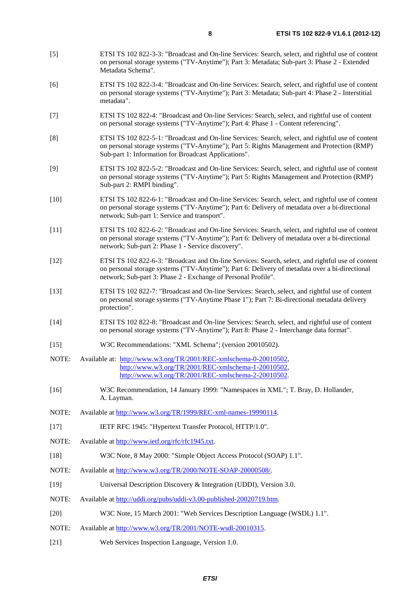- [5] ETSI TS 102 822-3-3: "Broadcast and On-line Services: Search, select, and rightful use of content on personal storage systems ("TV-Anytime"); Part 3: Metadata; Sub-part 3: Phase 2 - Extended
- [6] ETSI TS 102 822-3-4: "Broadcast and On-line Services: Search, select, and rightful use of content on personal storage systems ("TV-Anytime"); Part 3: Metadata; Sub-part 4: Phase 2 - Interstitial metadata".
- [7] ETSI TS 102 822-4: "Broadcast and On-line Services: Search, select, and rightful use of content on personal storage systems ("TV-Anytime"); Part 4: Phase 1 - Content referencing".
- [8] ETSI TS 102 822-5-1: "Broadcast and On-line Services: Search, select, and rightful use of content on personal storage systems ("TV-Anytime"); Part 5: Rights Management and Protection (RMP) Sub-part 1: Information for Broadcast Applications".
- [9] ETSI TS 102 822-5-2: "Broadcast and On-line Services: Search, select, and rightful use of content on personal storage systems ("TV-Anytime"); Part 5: Rights Management and Protection (RMP) Sub-part 2: RMPI binding".
- [10] ETSI TS 102 822-6-1: "Broadcast and On-line Services: Search, select, and rightful use of content on personal storage systems ("TV-Anytime"); Part 6: Delivery of metadata over a bi-directional network; Sub-part 1: Service and transport".
- [11] ETSI TS 102 822-6-2: "Broadcast and On-line Services: Search, select, and rightful use of content on personal storage systems ("TV-Anytime"); Part 6: Delivery of metadata over a bi-directional network; Sub-part 2: Phase 1 - Service discovery".
- [12] ETSI TS 102 822-6-3: "Broadcast and On-line Services: Search, select, and rightful use of content on personal storage systems ("TV-Anytime"); Part 6: Delivery of metadata over a bi-directional network; Sub-part 3: Phase 2 - Exchange of Personal Profile".
- [13] ETSI TS 102 822-7: "Broadcast and On-line Services: Search, select, and rightful use of content on personal storage systems ("TV-Anytime Phase 1"); Part 7: Bi-directional metadata delivery protection".
- [14] ETSI TS 102 822-8: "Broadcast and On-line Services: Search, select, and rightful use of content on personal storage systems ("TV-Anytime"); Part 8: Phase 2 - Interchange data format".
- [15] W3C Recommendations: "XML Schema"; (version 20010502).
- NOTE: Available at: [http://www.w3.org/TR/2001/REC-xmlschema-0-20010502,](http://www.w3.org/TR/2001/REC-xmlschema-0-20010502) [http://www.w3.org/TR/2001/REC-xmlschema-1-20010502,](http://www.w3.org/TR/2001/REC-xmlschema-1-20010502) [http://www.w3.org/TR/2001/REC-xmlschema-2-20010502.](http://www.w3.org/XML/Schema)
- [16] W3C Recommendation, 14 January 1999: "Namespaces in XML"; T. Bray, D. Hollander, A. Layman.
- NOTE: Available at [http://www.w3.org/TR/1999/REC-xml-names-19990114.](http://www.w3.org/TR/1999/REC-xml-names-19990114)
- [17] IETF RFC 1945: "Hypertext Transfer Protocol, HTTP/1.0".
- NOTE: Available at [http://www.ietf.org/rfc/rfc1945.txt.](http://www.ietf.org/rfc/rfc1945.txt)

Metadata Schema".

- [18] W3C Note, 8 May 2000: "Simple Object Access Protocol (SOAP) 1.1".
- NOTE: Available at<http://www.w3.org/TR/2000/NOTE-SOAP-20000508/>.
- [19] Universal Description Discovery & Integration (UDDI), Version 3.0.
- NOTE: Available at [http://uddi.org/pubs/uddi-v3.00-published-20020719.htm.](http://uddi.org/pubs/uddi-v3.00-published-20020719.htm)
- [20] W3C Note, 15 March 2001: "Web Services Description Language (WSDL) 1.1".
- NOTE: Available at<http://www.w3.org/TR/2001/NOTE-wsdl-20010315>.
- [21] Web Services Inspection Language, Version 1.0.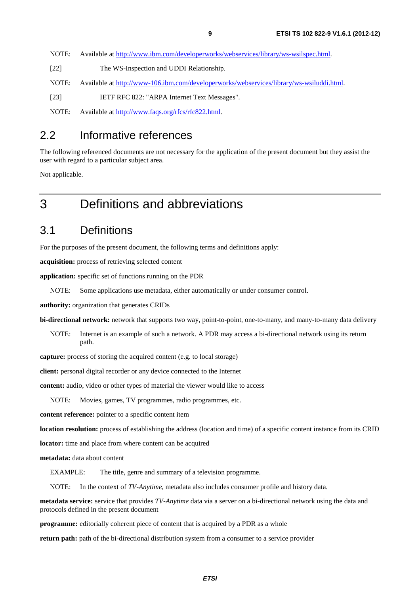NOTE: Available at [http://www.ibm.com/developerworks/webservices/library/ws-wsilspec.htm](http://www.ibm.com/developerworks/webservices/library/ws-wsilspec.html)l. [22] The WS-Inspection and UDDI Relationship. NOTE: Available at<http://www-106.ibm.com/developerworks/webservices/library/ws-wsiluddi.html>. [23] IETF RFC 822: "ARPA Internet Text Messages".

NOTE: Available at [http://www.faqs.org/rfcs/rfc822.html.](http://www.faqs.org/rfcs/rfc822.html)

### 2.2 Informative references

The following referenced documents are not necessary for the application of the present document but they assist the user with regard to a particular subject area.

Not applicable.

## 3 Definitions and abbreviations

### 3.1 Definitions

For the purposes of the present document, the following terms and definitions apply:

**acquisition:** process of retrieving selected content

**application:** specific set of functions running on the PDR

NOTE: Some applications use metadata, either automatically or under consumer control.

**authority:** organization that generates CRIDs

**bi-directional network:** network that supports two way, point-to-point, one-to-many, and many-to-many data delivery

NOTE: Internet is an example of such a network. A PDR may access a bi-directional network using its return path.

**capture:** process of storing the acquired content (e.g. to local storage)

**client:** personal digital recorder or any device connected to the Internet

**content:** audio, video or other types of material the viewer would like to access

NOTE: Movies, games, TV programmes, radio programmes, etc.

**content reference:** pointer to a specific content item

**location resolution:** process of establishing the address (location and time) of a specific content instance from its CRID

**locator:** time and place from where content can be acquired

**metadata:** data about content

EXAMPLE: The title, genre and summary of a television programme.

NOTE: In the context of *TV-Anytime*, metadata also includes consumer profile and history data.

**metadata service:** service that provides *TV-Anytime* data via a server on a bi-directional network using the data and protocols defined in the present document

**programme:** editorially coherent piece of content that is acquired by a PDR as a whole

**return path:** path of the bi-directional distribution system from a consumer to a service provider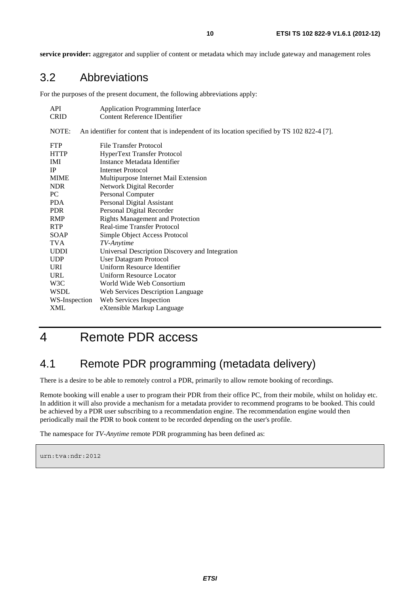**service provider:** aggregator and supplier of content or metadata which may include gateway and management roles

### 3.2 Abbreviations

For the purposes of the present document, the following abbreviations apply:

| <b>API</b>    | <b>Application Programming Interface</b>                                                     |
|---------------|----------------------------------------------------------------------------------------------|
| <b>CRID</b>   | <b>Content Reference IDentifier</b>                                                          |
| NOTE:         | An identifier for content that is independent of its location specified by TS 102 822-4 [7]. |
| <b>FTP</b>    | File Transfer Protocol                                                                       |
| <b>HTTP</b>   | <b>HyperText Transfer Protocol</b>                                                           |
| <b>IMI</b>    | Instance Metadata Identifier                                                                 |
| $_{\rm IP}$   | Internet Protocol                                                                            |
| <b>MIME</b>   | Multipurpose Internet Mail Extension                                                         |
| <b>NDR</b>    | Network Digital Recorder                                                                     |
| PC.           | Personal Computer                                                                            |
| PDA           | Personal Digital Assistant                                                                   |
| <b>PDR</b>    | Personal Digital Recorder                                                                    |
| <b>RMP</b>    | <b>Rights Management and Protection</b>                                                      |
| <b>RTP</b>    | <b>Real-time Transfer Protocol</b>                                                           |
| SOAP          | Simple Object Access Protocol                                                                |
| TVA           | TV-Anytime                                                                                   |
| <b>UDDI</b>   | Universal Description Discovery and Integration                                              |
| <b>UDP</b>    | <b>User Datagram Protocol</b>                                                                |
| URI           | Uniform Resource Identifier                                                                  |
| <b>URL</b>    | <b>Uniform Resource Locator</b>                                                              |
| W3C           | World Wide Web Consortium                                                                    |
| <b>WSDL</b>   | Web Services Description Language                                                            |
| WS-Inspection | Web Services Inspection                                                                      |
| XML           | eXtensible Markup Language                                                                   |

# 4 Remote PDR access

### 4.1 Remote PDR programming (metadata delivery)

There is a desire to be able to remotely control a PDR, primarily to allow remote booking of recordings.

Remote booking will enable a user to program their PDR from their office PC, from their mobile, whilst on holiday etc. In addition it will also provide a mechanism for a metadata provider to recommend programs to be booked. This could be achieved by a PDR user subscribing to a recommendation engine. The recommendation engine would then periodically mail the PDR to book content to be recorded depending on the user's profile.

The namespace for *TV-Anytime* remote PDR programming has been defined as:

```
urn:tva:ndr:2012
```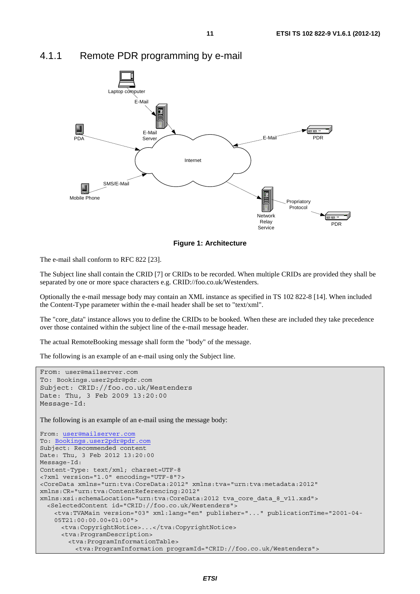

### 4.1.1 Remote PDR programming by e-mail



The e-mail shall conform to RFC 822 [23].

The Subject line shall contain the CRID [7] or CRIDs to be recorded. When multiple CRIDs are provided they shall be separated by one or more space characters e.g. CRID://foo.co.uk/Westenders.

Optionally the e-mail message body may contain an XML instance as specified in TS 102 822-8 [14]. When included the Content-Type parameter within the e-mail header shall be set to "text/xml".

The "core\_data" instance allows you to define the CRIDs to be booked. When these are included they take precedence over those contained within the subject line of the e-mail message header.

The actual RemoteBooking message shall form the "body" of the message.

The following is an example of an e-mail using only the Subject line.

```
From: user@mailserver.com
To: Bookings.user2pdr@pdr.com
Subject: CRID://foo.co.uk/Westenders 
Date: Thu, 3 Feb 2009 13:20:00 
Message-Id: 
The following is an example of an e-mail using the message body:
From: user@mailserver.com
To: Bookings.user2pdr@pdr.com
Subject: Recommended content 
Date: Thu, 3 Feb 2012 13:20:00 
Message-Id: 
Content-Type: text/xml; charset=UTF-8 
<?xml version="1.0" encoding="UTF-8"?> 
<CoreData xmlns="urn:tva:CoreData:2012" xmlns:tva="urn:tva:metadata:2012" 
xmlns:CR="urn:tva:ContentReferencing:2012" 
xmlns:xsi:schemaLocation="urn:tva:CoreData:2012 tva_core_data_8_v11.xsd"> 
   <SelectedContent id="CRID://foo.co.uk/Westenders"> 
     <tva:TVAMain version="03" xml:lang="en" publisher="..." publicationTime="2001-04- 
     05T21:00:00.00+01:00"> 
      <tva:CopyrightNotice>...</tva:CopyrightNotice> 
      <tva:ProgramDescription> 
         <tva:ProgramInformationTable> 
          <tva:ProgramInformation programId="CRID://foo.co.uk/Westenders">
```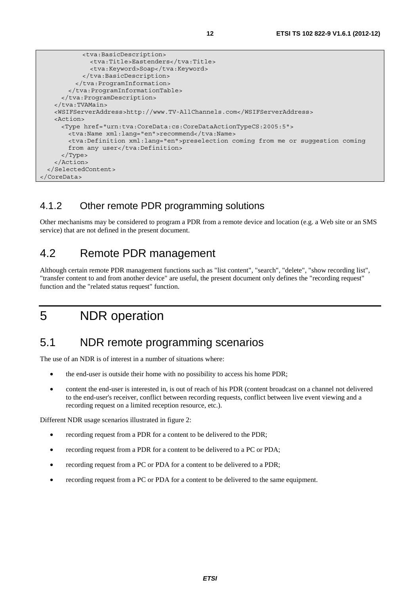```
 <tva:BasicDescription> 
              <tva:Title>Eastenders</tva:Title> 
              <tva:Keyword>Soap</tva:Keyword> 
            </tva:BasicDescription> 
          </tva:ProgramInformation> 
        </tva:ProgramInformationTable> 
      </tva:ProgramDescription> 
    </tva:TVAMain> 
    <WSIFServerAddress>http://www.TV-AllChannels.com</WSIFServerAddress> 
    <Action> 
      <Type href="urn:tva:CoreData:cs:CoreDataActionTypeCS:2005:5"> 
       <tva:Name xml:lang="en">recommend</tva:Name>
        <tva:Definition xml:lang="en">preselection coming from me or suggestion coming 
       from any user</tva:Definition>
      </Type> 
    </Action> 
  </SelectedContent> 
</CoreData>
```
### 4.1.2 Other remote PDR programming solutions

Other mechanisms may be considered to program a PDR from a remote device and location (e.g. a Web site or an SMS service) that are not defined in the present document.

### 4.2 Remote PDR management

Although certain remote PDR management functions such as "list content", "search", "delete", "show recording list", "transfer content to and from another device" are useful, the present document only defines the "recording request" function and the "related status request" function.

# 5 NDR operation

### 5.1 NDR remote programming scenarios

The use of an NDR is of interest in a number of situations where:

- the end-user is outside their home with no possibility to access his home PDR;
- content the end-user is interested in, is out of reach of his PDR (content broadcast on a channel not delivered to the end-user's receiver, conflict between recording requests, conflict between live event viewing and a recording request on a limited reception resource, etc.).

Different NDR usage scenarios illustrated in figure 2:

- recording request from a PDR for a content to be delivered to the PDR;
- recording request from a PDR for a content to be delivered to a PC or PDA;
- recording request from a PC or PDA for a content to be delivered to a PDR;
- recording request from a PC or PDA for a content to be delivered to the same equipment.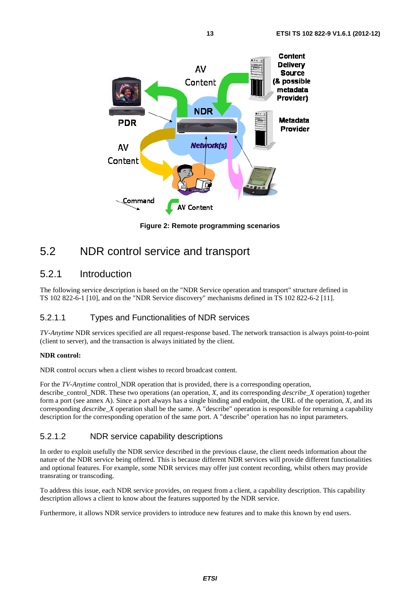

**Figure 2: Remote programming scenarios** 

### 5.2 NDR control service and transport

### 5.2.1 Introduction

The following service description is based on the "NDR Service operation and transport" structure defined in TS 102 822-6-1 [10], and on the "NDR Service discovery" mechanisms defined in TS 102 822-6-2 [11].

#### 5.2.1.1 Types and Functionalities of NDR services

*TV-Anytime* NDR services specified are all request-response based. The network transaction is always point-to-point (client to server), and the transaction is always initiated by the client.

#### **NDR control:**

NDR control occurs when a client wishes to record broadcast content.

For the *TV-Anytime* control NDR operation that is provided, there is a corresponding operation, describe\_control\_NDR. These two operations (an operation, *X*, and its corresponding *describe*\_*X* operation) together form a port (see annex A). Since a port always has a single binding and endpoint, the URL of the operation, *X*, and its corresponding *describe\_X* operation shall be the same. A "describe" operation is responsible for returning a capability description for the corresponding operation of the same port. A "describe" operation has no input parameters.

#### 5.2.1.2 NDR service capability descriptions

In order to exploit usefully the NDR service described in the previous clause, the client needs information about the nature of the NDR service being offered. This is because different NDR services will provide different functionalities and optional features. For example, some NDR services may offer just content recording, whilst others may provide transrating or transcoding.

To address this issue, each NDR service provides, on request from a client, a capability description. This capability description allows a client to know about the features supported by the NDR service.

Furthermore, it allows NDR service providers to introduce new features and to make this known by end users.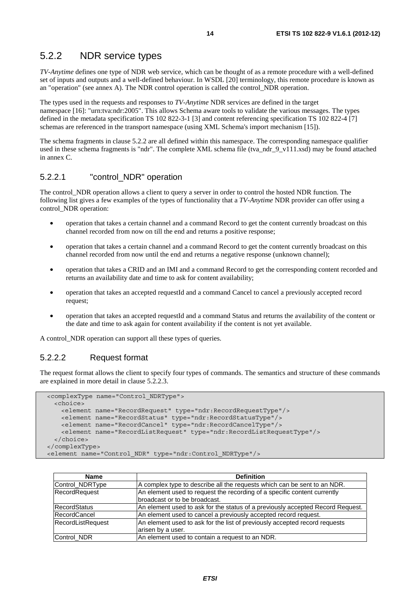### 5.2.2 NDR service types

*TV-Anytime* defines one type of NDR web service, which can be thought of as a remote procedure with a well-defined set of inputs and outputs and a well-defined behaviour. In WSDL [20] terminology, this remote procedure is known as an "operation" (see annex A). The NDR control operation is called the control\_NDR operation.

The types used in the requests and responses to *TV-Anytime* NDR services are defined in the target namespace [16]: "urn:tva:ndr:2005". This allows Schema aware tools to validate the various messages. The types defined in the metadata specification TS 102 822-3-1 [3] and content referencing specification TS 102 822-4 [7] schemas are referenced in the transport namespace (using XML Schema's import mechanism [15]).

The schema fragments in clause 5.2.2 are all defined within this namespace. The corresponding namespace qualifier used in these schema fragments is "ndr". The complete XML schema file (tva\_ndr\_9\_v111.xsd) may be found attached in annex C.

#### 5.2.2.1 "control\_NDR" operation

The control NDR operation allows a client to query a server in order to control the hosted NDR function. The following list gives a few examples of the types of functionality that a *TV-Anytime* NDR provider can offer using a control\_NDR operation:

- operation that takes a certain channel and a command Record to get the content currently broadcast on this channel recorded from now on till the end and returns a positive response;
- operation that takes a certain channel and a command Record to get the content currently broadcast on this channel recorded from now until the end and returns a negative response (unknown channel);
- operation that takes a CRID and an IMI and a command Record to get the corresponding content recorded and returns an availability date and time to ask for content availability;
- operation that takes an accepted requestId and a command Cancel to cancel a previously accepted record request;
- operation that takes an accepted requestId and a command Status and returns the availability of the content or the date and time to ask again for content availability if the content is not yet available.

A control\_NDR operation can support all these types of queries.

#### 5.2.2.2 Request format

The request format allows the client to specify four types of commands. The semantics and structure of these commands are explained in more detail in clause 5.2.2.3.

```
 <complexType name="Control_NDRType"> 
  <choice> 
    <element name="RecordRequest" type="ndr:RecordRequestType"/> 
    <element name="RecordStatus" type="ndr:RecordStatusType"/> 
    <element name="RecordCancel" type="ndr:RecordCancelType"/> 
     <element name="RecordListRequest" type="ndr:RecordListRequestType"/> 
  </choice> 
 </complexType> 
 <element name="Control_NDR" type="ndr:Control_NDRType"/>
```

| <b>Name</b>         | <b>Definition</b>                                                              |
|---------------------|--------------------------------------------------------------------------------|
| Control_NDRType     | A complex type to describe all the requests which can be sent to an NDR.       |
| RecordRequest       | An element used to request the recording of a specific content currently       |
|                     | broadcast or to be broadcast.                                                  |
| RecordStatus        | An element used to ask for the status of a previously accepted Record Request. |
| <b>RecordCancel</b> | An element used to cancel a previously accepted record request.                |
| RecordListRequest   | An element used to ask for the list of previously accepted record requests     |
|                     | arisen by a user.                                                              |
| Control_NDR         | An element used to contain a request to an NDR.                                |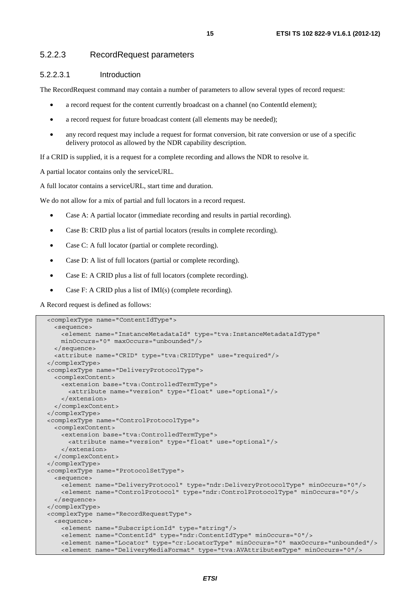#### 5.2.2.3 RecordRequest parameters

#### 5.2.2.3.1 Introduction

The RecordRequest command may contain a number of parameters to allow several types of record request:

- a record request for the content currently broadcast on a channel (no ContentId element);
- a record request for future broadcast content (all elements may be needed);
- any record request may include a request for format conversion, bit rate conversion or use of a specific delivery protocol as allowed by the NDR capability description.

If a CRID is supplied, it is a request for a complete recording and allows the NDR to resolve it.

A partial locator contains only the serviceURL.

A full locator contains a serviceURL, start time and duration.

We do not allow for a mix of partial and full locators in a record request.

- Case A: A partial locator (immediate recording and results in partial recording).
- Case B: CRID plus a list of partial locators (results in complete recording).
- Case C: A full locator (partial or complete recording).
- Case D: A list of full locators (partial or complete recording).
- Case E: A CRID plus a list of full locators (complete recording).
- Case F: A CRID plus a list of IMI(s) (complete recording).

A Record request is defined as follows:

```
 <complexType name="ContentIdType"> 
   <sequence> 
    <element name="InstanceMetadataId" type="tva:InstanceMetadataIdType" 
    minOccurs="0" maxOccurs="unbounded"/> 
  </sequence> 
   <attribute name="CRID" type="tva:CRIDType" use="required"/> 
 </complexType> 
 <complexType name="DeliveryProtocolType"> 
  <complexContent> 
     <extension base="tva:ControlledTermType"> 
       <attribute name="version" type="float" use="optional"/> 
    </extension> 
  </complexContent> 
 </complexType> 
 <complexType name="ControlProtocolType"> 
  <complexContent> 
    <extension base="tva:ControlledTermType"> 
      <attribute name="version" type="float" use="optional"/> 
    </extension> 
  </complexContent> 
 </complexType> 
 <complexType name="ProtocolSetType"> 
  <sequence> 
     <element name="DeliveryProtocol" type="ndr:DeliveryProtocolType" minOccurs="0"/> 
    <element name="ControlProtocol" type="ndr:ControlProtocolType" minOccurs="0"/> 
  </sequence> 
 </complexType> 
 <complexType name="RecordRequestType"> 
  <sequence> 
    <element name="SubscriptionId" type="string"/> 
    <element name="ContentId" type="ndr:ContentIdType" minOccurs="0"/> 
    <element name="Locator" type="cr:LocatorType" minOccurs="0" maxOccurs="unbounded"/> 
     <element name="DeliveryMediaFormat" type="tva:AVAttributesType" minOccurs="0"/>
```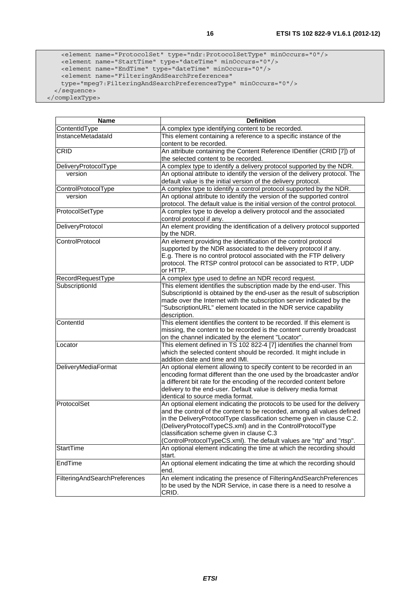```
 <element name="ProtocolSet" type="ndr:ProtocolSetType" minOccurs="0"/> 
 <element name="StartTime" type="dateTime" minOccurs="0"/> 
 <element name="EndTime" type="dateTime" minOccurs="0"/> 
      <element name="FilteringAndSearchPreferences" 
      type="mpeg7:FilteringAndSearchPreferencesType" minOccurs="0"/> 
    </sequence>
```
</complexType>

| Name                          | <b>Definition</b>                                                                                                                                                                                                                                                                                                                                                                                                  |
|-------------------------------|--------------------------------------------------------------------------------------------------------------------------------------------------------------------------------------------------------------------------------------------------------------------------------------------------------------------------------------------------------------------------------------------------------------------|
| ContentIdType                 | A complex type identifying content to be recorded.                                                                                                                                                                                                                                                                                                                                                                 |
| InstanceMetadataId            | This element containing a reference to a specific instance of the<br>content to be recorded.                                                                                                                                                                                                                                                                                                                       |
| CRID                          | An attribute containing the Content Reference IDentifier (CRID [7]) of                                                                                                                                                                                                                                                                                                                                             |
|                               | the selected content to be recorded.                                                                                                                                                                                                                                                                                                                                                                               |
| DeliveryProtocolType          | A complex type to identify a delivery protocol supported by the NDR.                                                                                                                                                                                                                                                                                                                                               |
| version                       | An optional attribute to identify the version of the delivery protocol. The<br>default value is the initial version of the delivery protocol.                                                                                                                                                                                                                                                                      |
| ControlProtocolType           | A complex type to identify a control protocol supported by the NDR.                                                                                                                                                                                                                                                                                                                                                |
| version                       | An optional attribute to identify the version of the supported control<br>protocol. The default value is the initial version of the control protocol.                                                                                                                                                                                                                                                              |
| ProtocolSetType               | A complex type to develop a delivery protocol and the associated<br>control protocol if any.                                                                                                                                                                                                                                                                                                                       |
| DeliveryProtocol              | An element providing the identification of a delivery protocol supported<br>by the NDR.                                                                                                                                                                                                                                                                                                                            |
| ControlProtocol               | An element providing the identification of the control protocol<br>supported by the NDR associated to the delivery protocol if any.<br>E.g. There is no control protocol associated with the FTP delivery<br>protocol. The RTSP control protocol can be associated to RTP, UDP<br>or HTTP.                                                                                                                         |
| RecordRequestType             | A complex type used to define an NDR record request.                                                                                                                                                                                                                                                                                                                                                               |
| SubscriptionId                | This element identifies the subscription made by the end-user. This<br>SubscriptionId is obtained by the end-user as the result of subscription<br>made over the Internet with the subscription server indicated by the<br>"SubscriptionURL" element located in the NDR service capability<br>description.                                                                                                         |
| ContentId                     | This element identifies the content to be recorded. If this element is<br>missing, the content to be recorded is the content currently broadcast<br>on the channel indicated by the element "Locator".                                                                                                                                                                                                             |
| Locator                       | This element defined in TS 102 822-4 [7] identifies the channel from<br>which the selected content should be recorded. It might include in<br>addition date and time and IMI.                                                                                                                                                                                                                                      |
| DeliveryMediaFormat           | An optional element allowing to specify content to be recorded in an<br>encoding format different than the one used by the broadcaster and/or<br>a different bit rate for the encoding of the recorded content before<br>delivery to the end-user. Default value is delivery media format<br>identical to source media format.                                                                                     |
| ProtocolSet                   | An optional element indicating the protocols to be used for the delivery<br>and the control of the content to be recorded, among all values defined<br>in the DeliveryProtocolType classification scheme given in clause C.2.<br>(DeliveryProtocolTypeCS.xml) and in the ControlProtocolType<br>classification scheme given in clause C.3<br>(ControlProtocolTypeCS.xml). The default values are "rtp" and "rtsp". |
| StartTime                     | An optional element indicating the time at which the recording should<br>start.                                                                                                                                                                                                                                                                                                                                    |
| EndTime                       | An optional element indicating the time at which the recording should<br>end.                                                                                                                                                                                                                                                                                                                                      |
| FilteringAndSearchPreferences | An element indicating the presence of FilteringAndSearchPreferences<br>to be used by the NDR Service, in case there is a need to resolve a<br>CRID.                                                                                                                                                                                                                                                                |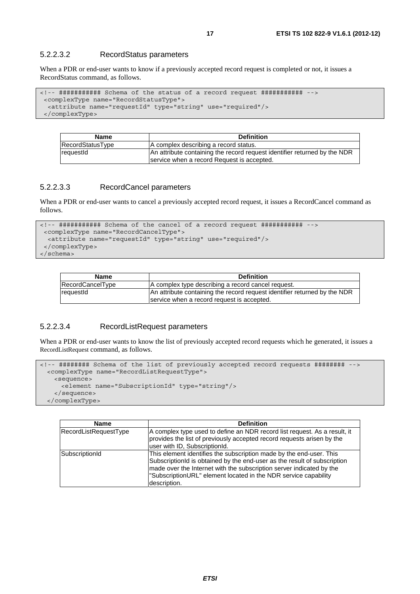#### 5.2.2.3.2 RecordStatus parameters

When a PDR or end-user wants to know if a previously accepted record request is completed or not, it issues a RecordStatus command, as follows.

```
<!-- ########### Schema of the status of a record request ########### --> 
  <complexType name="RecordStatusType"> 
   <attribute name="requestId" type="string" use="required"/> 
  </complexType>
```

| <b>Name</b>        | <b>Definition</b>                                                         |
|--------------------|---------------------------------------------------------------------------|
| RecordStatusType   | A complex describing a record status.                                     |
| <b>I</b> requestId | An attribute containing the record request identifier returned by the NDR |
|                    | service when a record Request is accepted.                                |

#### 5.2.2.3.3 RecordCancel parameters

When a PDR or end-user wants to cancel a previously accepted record request, it issues a RecordCancel command as follows.

```
<!-- ########### Schema of the cancel of a record request ########### --> 
  <complexType name="RecordCancelType"> 
  <attribute name="requestId" type="string" use="required"/> 
  </complexType> 
</schema>
```

| <b>Name</b>      | <b>Definition</b>                                                                                                       |
|------------------|-------------------------------------------------------------------------------------------------------------------------|
| RecordCancelType | A complex type describing a record cancel request.                                                                      |
| requestId        | An attribute containing the record request identifier returned by the NDR<br>service when a record request is accepted. |
|                  |                                                                                                                         |

#### 5.2.2.3.4 RecordListRequest parameters

When a PDR or end-user wants to know the list of previously accepted record requests which he generated, it issues a RecordListRequest command, as follows.

```
<!-- ######## Schema of the list of previously accepted record requests ######## --> 
  <complexType name="RecordListRequestType"> 
    <sequence> 
      <element name="SubscriptionId" type="string"/> 
    </sequence> 
  </complexType>
```

| <b>Name</b>           | <b>Definition</b>                                                                                                                                                                                                                                                                                          |
|-----------------------|------------------------------------------------------------------------------------------------------------------------------------------------------------------------------------------------------------------------------------------------------------------------------------------------------------|
| RecordListRequestType | A complex type used to define an NDR record list request. As a result, it<br>provides the list of previously accepted record requests arisen by the<br>user with ID, SubscriptionId.                                                                                                                       |
| SubscriptionId        | This element identifies the subscription made by the end-user. This<br>SubscriptionId is obtained by the end-user as the result of subscription<br>made over the Internet with the subscription server indicated by the<br>"SubscriptionURL" element located in the NDR service capability<br>description. |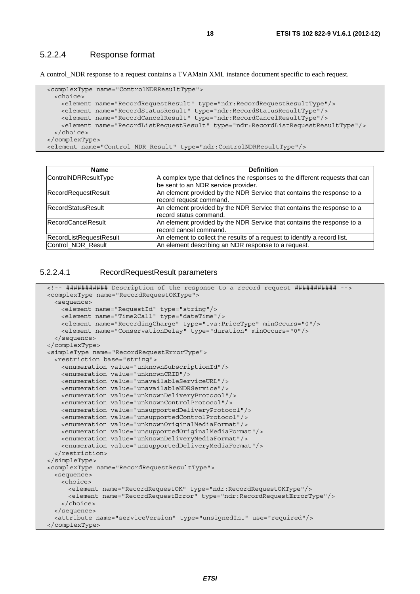#### 5.2.2.4 Response format

A control\_NDR response to a request contains a TVAMain XML instance document specific to each request.

```
 <complexType name="ControlNDRResultType"> 
    <choice> 
      <element name="RecordRequestResult" type="ndr:RecordRequestResultType"/> 
 <element name="RecordStatusResult" type="ndr:RecordStatusResultType"/> 
 <element name="RecordCancelResult" type="ndr:RecordCancelResultType"/> 
      <element name="RecordListRequestResult" type="ndr:RecordListRequestResultType"/> 
    </choice> 
  </complexType> 
  <element name="Control_NDR_Result" type="ndr:ControlNDRResultType"/>
```

| Name                      | <b>Definition</b>                                                            |
|---------------------------|------------------------------------------------------------------------------|
| ControlNDRResultType      | A complex type that defines the responses to the different requests that can |
|                           | be sent to an NDR service provider.                                          |
| RecordRequestResult       | An element provided by the NDR Service that contains the response to a       |
|                           | record request command.                                                      |
| <b>RecordStatusResult</b> | An element provided by the NDR Service that contains the response to a       |
|                           | record status command.                                                       |
| <b>RecordCancelResult</b> | An element provided by the NDR Service that contains the response to a       |
|                           | record cancel command.                                                       |
| RecordListRequestResult   | An element to collect the results of a request to identify a record list.    |
| Control_NDR_Result        | An element describing an NDR response to a request.                          |

#### 5.2.2.4.1 RecordRequestResult parameters

```
 <!-- ########### Description of the response to a record request ########### --> 
 <complexType name="RecordRequestOKType"> 
  <sequence> 
    <element name="RequestId" type="string"/> 
    <element name="Time2Call" type="dateTime"/> 
    <element name="RecordingCharge" type="tva:PriceType" minOccurs="0"/> 
    <element name="ConservationDelay" type="duration" minOccurs="0"/> 
  </sequence> 
 </complexType> 
 <simpleType name="RecordRequestErrorType"> 
   <restriction base="string"> 
    <enumeration value="unknownSubscriptionId"/> 
    <enumeration value="unknownCRID"/> 
    <enumeration value="unavailableServiceURL"/> 
    <enumeration value="unavailableNDRService"/> 
    <enumeration value="unknownDeliveryProtocol"/> 
    <enumeration value="unknownControlProtocol"/> 
    <enumeration value="unsupportedDeliveryProtocol"/> 
    <enumeration value="unsupportedControlProtocol"/> 
    <enumeration value="unknownOriginalMediaFormat"/> 
    <enumeration value="unsupportedOriginalMediaFormat"/> 
    <enumeration value="unknownDeliveryMediaFormat"/> 
    <enumeration value="unsupportedDeliveryMediaFormat"/> 
  </restriction> 
 </simpleType> 
 <complexType name="RecordRequestResultType"> 
  <sequence> 
    <choice> 
      <element name="RecordRequestOK" type="ndr:RecordRequestOKType"/> 
      <element name="RecordRequestError" type="ndr:RecordRequestErrorType"/> 
    </choice> 
  </sequence> 
   <attribute name="serviceVersion" type="unsignedInt" use="required"/> 
 </complexType>
```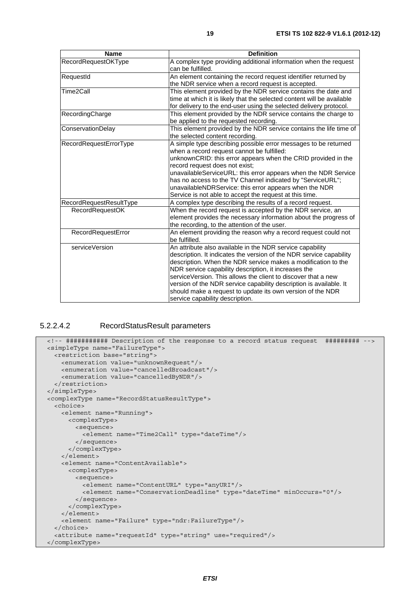| <b>Name</b>             | <b>Definition</b>                                                                                                                                                                                                                                                                                                                                                                                                                                                                                  |
|-------------------------|----------------------------------------------------------------------------------------------------------------------------------------------------------------------------------------------------------------------------------------------------------------------------------------------------------------------------------------------------------------------------------------------------------------------------------------------------------------------------------------------------|
| RecordRequestOKType     | A complex type providing additional information when the request<br>can be fulfilled.                                                                                                                                                                                                                                                                                                                                                                                                              |
| RequestId               | An element containing the record request identifier returned by<br>the NDR service when a record request is accepted.                                                                                                                                                                                                                                                                                                                                                                              |
| Time2Call               | This element provided by the NDR service contains the date and<br>time at which it is likely that the selected content will be available<br>for delivery to the end-user using the selected delivery protocol.                                                                                                                                                                                                                                                                                     |
| RecordingCharge         | This element provided by the NDR service contains the charge to<br>be applied to the requested recording.                                                                                                                                                                                                                                                                                                                                                                                          |
| ConservationDelay       | This element provided by the NDR service contains the life time of<br>the selected content recording.                                                                                                                                                                                                                                                                                                                                                                                              |
| RecordRequestErrorType  | A simple type describing possible error messages to be returned<br>when a record request cannot be fulfilled:<br>unknownCRID: this error appears when the CRID provided in the<br>record request does not exist;<br>unavailableServiceURL: this error appears when the NDR Service<br>has no access to the TV Channel indicated by "ServiceURL";<br>unavailableNDRService: this error appears when the NDR<br>Service is not able to accept the request at this time.                              |
| RecordRequestResultType | A complex type describing the results of a record request.                                                                                                                                                                                                                                                                                                                                                                                                                                         |
| <b>RecordRequestOK</b>  | When the record request is accepted by the NDR service, an<br>element provides the necessary information about the progress of<br>the recording, to the attention of the user.                                                                                                                                                                                                                                                                                                                     |
| RecordRequestError      | An element providing the reason why a record request could not<br>be fulfilled.                                                                                                                                                                                                                                                                                                                                                                                                                    |
| serviceVersion          | An attribute also available in the NDR service capability<br>description. It indicates the version of the NDR service capability<br>description. When the NDR service makes a modification to the<br>NDR service capability description, it increases the<br>service Version. This allows the client to discover that a new<br>version of the NDR service capability description is available. It<br>should make a request to update its own version of the NDR<br>service capability description. |

#### 5.2.2.4.2 RecordStatusResult parameters

```
 <!-- ########### Description of the response to a record status request ######### --> 
 <simpleType name="FailureType"> 
  <restriction base="string"> 
    <enumeration value="unknownRequest"/> 
    <enumeration value="cancelledBroadcast"/> 
    <enumeration value="cancelledByNDR"/> 
  </restriction> 
 </simpleType> 
 <complexType name="RecordStatusResultType"> 
  <choice> 
    <element name="Running"> 
      <complexType> 
        <sequence> 
          <element name="Time2Call" type="dateTime"/> 
        </sequence> 
      </complexType> 
    </element> 
    <element name="ContentAvailable"> 
       <complexType> 
        <sequence> 
          <element name="ContentURL" type="anyURI"/> 
          <element name="ConservationDeadline" type="dateTime" minOccurs="0"/> 
        </sequence> 
       </complexType> 
    </element> 
    <element name="Failure" type="ndr:FailureType"/> 
  </choice> 
   <attribute name="requestId" type="string" use="required"/> 
 </complexType>
```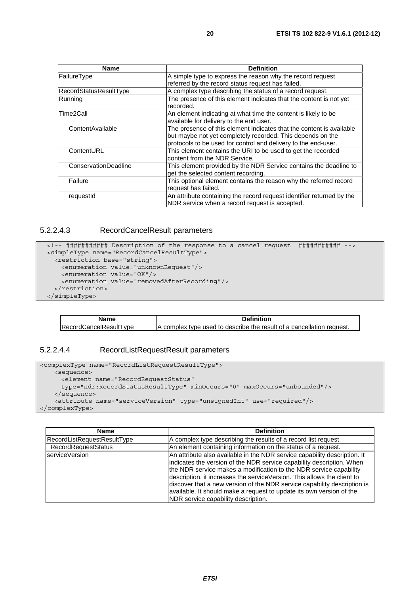| Name                        | <b>Definition</b>                                                     |
|-----------------------------|-----------------------------------------------------------------------|
| FailureType                 | A simple type to express the reason why the record request            |
|                             | referred by the record status request has failed.                     |
| RecordStatusResultType      | A complex type describing the status of a record request.             |
| Running                     | The presence of this element indicates that the content is not yet    |
|                             | recorded.                                                             |
| Time2Call                   | An element indicating at what time the content is likely to be        |
|                             | available for delivery to the end user.                               |
| ContentAvailable            | The presence of this element indicates that the content is available  |
|                             | but maybe not yet completely recorded. This depends on the            |
|                             | protocols to be used for control and delivery to the end-user.        |
| ContentURL                  | This element contains the URI to be used to get the recorded          |
|                             | content from the NDR Service.                                         |
| <b>ConservationDeadline</b> | This element provided by the NDR Service contains the deadline to     |
|                             | get the selected content recording.                                   |
| Failure                     | This optional element contains the reason why the referred record     |
|                             | request has failed.                                                   |
| requestId                   | An attribute containing the record request identifier returned by the |
|                             | NDR service when a record request is accepted.                        |

#### 5.2.2.4.3 RecordCancelResult parameters

```
 <!-- ########### Description of the response to a cancel request ########### --> 
 <simpleType name="RecordCancelResultType"> 
  <restriction base="string"> 
    <enumeration value="unknownRequest"/> 
    <enumeration value="OK"/> 
    <enumeration value="removedAfterRecording"/> 
   </restriction> 
 </simpleType>
```

| <b>Name</b>            | <b>Definition</b>                                                     |
|------------------------|-----------------------------------------------------------------------|
| RecordCancelResultType | A complex type used to describe the result of a cancellation request. |

#### 5.2.2.4.4 RecordListRequestResult parameters

```
<complexType name="RecordListRequestResultType"> 
    <sequence> 
      <element name="RecordRequestStatus" 
      type="ndr:RecordStatusResultType" minOccurs="0" maxOccurs="unbounded"/> 
    </sequence> 
    <attribute name="serviceVersion" type="unsignedInt" use="required"/> 
</complexType>
```

| <b>Name</b>                        | <b>Definition</b>                                                                                                                                                                                                                                                                                                                                                                                                                                                                              |
|------------------------------------|------------------------------------------------------------------------------------------------------------------------------------------------------------------------------------------------------------------------------------------------------------------------------------------------------------------------------------------------------------------------------------------------------------------------------------------------------------------------------------------------|
| <b>RecordListRequestResultType</b> | A complex type describing the results of a record list request.                                                                                                                                                                                                                                                                                                                                                                                                                                |
| <b>RecordRequestStatus</b>         | An element containing information on the status of a request.                                                                                                                                                                                                                                                                                                                                                                                                                                  |
| serviceVersion                     | An attribute also available in the NDR service capability description. It<br>indicates the version of the NDR service capability description. When<br>the NDR service makes a modification to the NDR service capability<br>description, it increases the serviceVersion. This allows the client to<br>discover that a new version of the NDR service capability description is<br>available. It should make a request to update its own version of the<br>NDR service capability description. |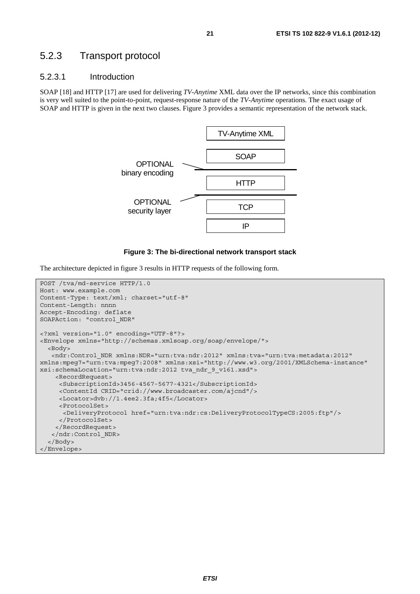### 5.2.3 Transport protocol

#### 5.2.3.1 Introduction

SOAP [18] and HTTP [17] are used for delivering *TV-Anytime* XML data over the IP networks, since this combination is very well suited to the point-to-point, request-response nature of the *TV-Anytime* operations. The exact usage of SOAP and HTTP is given in the next two clauses. Figure 3 provides a semantic representation of the network stack.



#### **Figure 3: The bi-directional network transport stack**

The architecture depicted in figure 3 results in HTTP requests of the following form.

```
POST /tva/md-service HTTP/1.0 
Host: www.example.com 
Content-Type: text/xml; charset="utf-8" 
Content-Length: nnnn 
Accept-Encoding: deflate 
SOAPAction: "control_NDR" 
<?xml version="1.0" encoding="UTF-8"?> 
<Envelope xmlns="http://schemas.xmlsoap.org/soap/envelope/"> 
   <Body> 
    <ndr:Control_NDR xmlns:NDR="urn:tva:ndr:2012" xmlns:tva="urn:tva:metadata:2012" 
xmlns:mpeg7="urn:tva:mpeg7:2008" xmlns:xsi="http://www.w3.org/2001/XMLSchema-instance" 
xsi:schemaLocation="urn:tva:ndr:2012 tva_ndr_9_v161.xsd"> 
     <RecordRequest> 
      <SubscriptionId>3456-4567-5677-4321</SubscriptionId> 
      <ContentId CRID="crid://www.broadcaster.com/ajcnd"/> 
      <Locator>dvb://1.4ee2.3fa;4f5</Locator> 
      <ProtocolSet> 
       <DeliveryProtocol href="urn:tva:ndr:cs:DeliveryProtocolTypeCS:2005:ftp"/> 
      </ProtocolSet> 
     </RecordRequest> 
    </ndr:Control_NDR> 
   </Body> 
</Envelope>
```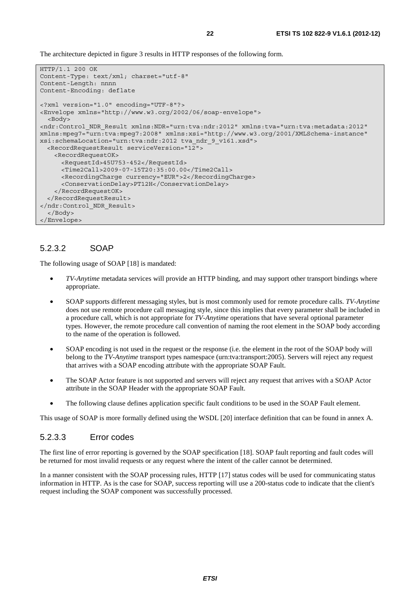The architecture depicted in figure 3 results in HTTP responses of the following form.

```
HTTP/1.1 200 OK 
Content-Type: text/xml; charset="utf-8" 
Content-Length: nnnn 
Content-Encoding: deflate 
<?xml version="1.0" encoding="UTF-8"?> 
<Envelope xmlns="http://www.w3.org/2002/06/soap-envelope"> 
   <Body> 
<ndr:Control_NDR_Result xmlns:NDR="urn:tva:ndr:2012" xmlns:tva="urn:tva:metadata:2012" 
xmlns:mpeg7="urn:tva:mpeg7:2008" xmlns:xsi="http://www.w3.org/2001/XMLSchema-instance" 
xsi:schemaLocation="urn:tva:ndr:2012 tva_ndr_9_v161.xsd"> 
   <RecordRequestResult serviceVersion="12"> 
    <RecordRequestOK> 
       <RequestId>45U753-452</RequestId> 
       <Time2Call>2009-07-15T20:35:00.00</Time2Call> 
      <RecordingCharge currency="EUR">2</RecordingCharge> 
      <ConservationDelay>PT12H</ConservationDelay> 
    </RecordRequestOK> 
   </RecordRequestResult> 
</ndr:Control_NDR_Result> 
  </Body> 
</Envelope>
```
#### 5.2.3.2 SOAP

The following usage of SOAP [18] is mandated:

- *TV-Anytime* metadata services will provide an HTTP binding, and may support other transport bindings where appropriate.
- SOAP supports different messaging styles, but is most commonly used for remote procedure calls. *TV-Anytime* does not use remote procedure call messaging style, since this implies that every parameter shall be included in a procedure call, which is not appropriate for *TV-Anytime* operations that have several optional parameter types. However, the remote procedure call convention of naming the root element in the SOAP body according to the name of the operation is followed.
- SOAP encoding is not used in the request or the response (i.e. the element in the root of the SOAP body will belong to the *TV-Anytime* transport types namespace (urn:tva:transport:2005). Servers will reject any request that arrives with a SOAP encoding attribute with the appropriate SOAP Fault.
- The SOAP Actor feature is not supported and servers will reject any request that arrives with a SOAP Actor attribute in the SOAP Header with the appropriate SOAP Fault.
- The following clause defines application specific fault conditions to be used in the SOAP Fault element.

This usage of SOAP is more formally defined using the WSDL [20] interface definition that can be found in annex A.

#### 5.2.3.3 Error codes

The first line of error reporting is governed by the SOAP specification [18]. SOAP fault reporting and fault codes will be returned for most invalid requests or any request where the intent of the caller cannot be determined.

In a manner consistent with the SOAP processing rules, HTTP [17] status codes will be used for communicating status information in HTTP. As is the case for SOAP, success reporting will use a 200-status code to indicate that the client's request including the SOAP component was successfully processed.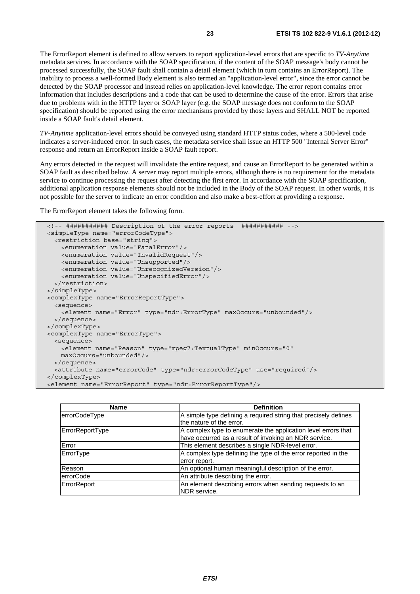The ErrorReport element is defined to allow servers to report application-level errors that are specific to *TV-Anytime* metadata services. In accordance with the SOAP specification, if the content of the SOAP message's body cannot be processed successfully, the SOAP fault shall contain a detail element (which in turn contains an ErrorReport). The inability to process a well-formed Body element is also termed an "application-level error", since the error cannot be detected by the SOAP processor and instead relies on application-level knowledge. The error report contains error information that includes descriptions and a code that can be used to determine the cause of the error. Errors that arise due to problems with in the HTTP layer or SOAP layer (e.g. the SOAP message does not conform to the SOAP specification) should be reported using the error mechanisms provided by those layers and SHALL NOT be reported inside a SOAP fault's detail element.

*TV-Anytime* application-level errors should be conveyed using standard HTTP status codes, where a 500-level code indicates a server-induced error. In such cases, the metadata service shall issue an HTTP 500 "Internal Server Error" response and return an ErrorReport inside a SOAP fault report.

Any errors detected in the request will invalidate the entire request, and cause an ErrorReport to be generated within a SOAP fault as described below. A server may report multiple errors, although there is no requirement for the metadata service to continue processing the request after detecting the first error. In accordance with the SOAP specification, additional application response elements should not be included in the Body of the SOAP request. In other words, it is not possible for the server to indicate an error condition and also make a best-effort at providing a response.

The ErrorReport element takes the following form.

```
 <!-- ########### Description of the error reports ########### --> 
 <simpleType name="errorCodeType"> 
  <restriction base="string"> 
    <enumeration value="FatalError"/> 
    <enumeration value="InvalidRequest"/> 
    <enumeration value="Unsupported"/> 
    <enumeration value="UnrecognizedVersion"/> 
     <enumeration value="UnspecifiedError"/> 
  </restriction> 
 </simpleType> 
 <complexType name="ErrorReportType"> 
   <sequence> 
     <element name="Error" type="ndr:ErrorType" maxOccurs="unbounded"/> 
  </sequence> 
 </complexType> 
 <complexType name="ErrorType"> 
  <sequence> 
    <element name="Reason" type="mpeg7:TextualType" minOccurs="0" 
    maxOccurs="unbounded"/> 
  </sequence> 
   <attribute name="errorCode" type="ndr:errorCodeType" use="required"/> 
 </complexType> 
 <element name="ErrorReport" type="ndr:ErrorReportType"/>
```

| <b>Name</b>      | <b>Definition</b>                                                                                                      |
|------------------|------------------------------------------------------------------------------------------------------------------------|
| errorCodeType    | A simple type defining a required string that precisely defines<br>the nature of the error.                            |
| ErrorReportType  | A complex type to enumerate the application level errors that<br>have occurred as a result of invoking an NDR service. |
| Error            | This element describes a single NDR-level error.                                                                       |
| ErrorType        | A complex type defining the type of the error reported in the<br>error report.                                         |
| Reason           | An optional human meaningful description of the error.                                                                 |
| <b>errorCode</b> | An attribute describing the error.                                                                                     |
| ErrorReport      | An element describing errors when sending requests to an<br>NDR service.                                               |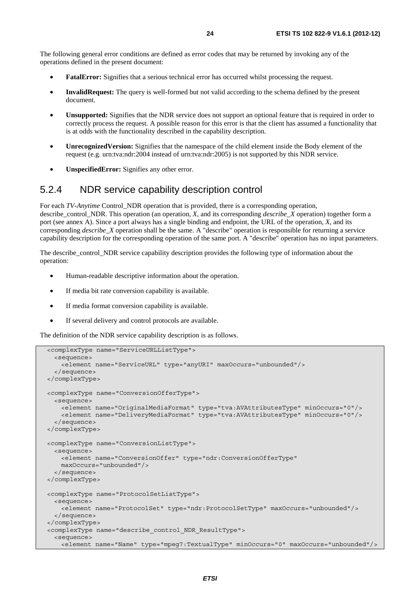The following general error conditions are defined as error codes that may be returned by invoking any of the operations defined in the present document:

- **FatalError:** Signifies that a serious technical error has occurred whilst processing the request.
- **InvalidRequest:** The query is well-formed but not valid according to the schema defined by the present document.
- **Unsupported:** Signifies that the NDR service does not support an optional feature that is required in order to correctly process the request. A possible reason for this error is that the client has assumed a functionality that is at odds with the functionality described in the capability description.
- **UnrecognizedVersion:** Signifies that the namespace of the child element inside the Body element of the request (e.g. urn:tva:ndr:2004 instead of urn:tva:ndr:2005) is not supported by this NDR service.
- **UnspecifiedError:** Signifies any other error.

### 5.2.4 NDR service capability description control

For each *TV-Anytime* Control\_NDR operation that is provided, there is a corresponding operation, describe control NDR. This operation (an operation, *X*, and its corresponding *describe* X operation) together form a port (see annex A). Since a port always has a single binding and endpoint, the URL of the operation, *X*, and its corresponding *describe\_X* operation shall be the same. A "describe" operation is responsible for returning a service capability description for the corresponding operation of the same port. A "describe" operation has no input parameters.

The describe control NDR service capability description provides the following type of information about the operation:

- Human-readable descriptive information about the operation.
- If media bit rate conversion capability is available.
- If media format conversion capability is available.
- If several delivery and control protocols are available.

The definition of the NDR service capability description is as follows.

```
 <complexType name="ServiceURLListType"> 
   <sequence> 
    <element name="ServiceURL" type="anyURI" maxOccurs="unbounded"/> 
   </sequence> 
 </complexType> 
 <complexType name="ConversionOfferType"> 
  <sequence> 
    <element name="OriginalMediaFormat" type="tva:AVAttributesType" minOccurs="0"/> 
     <element name="DeliveryMediaFormat" type="tva:AVAttributesType" minOccurs="0"/> 
   </sequence> 
 </complexType> 
 <complexType name="ConversionListType"> 
  <sequence> 
    <element name="ConversionOffer" type="ndr:ConversionOfferType" 
    maxOccurs="unbounded"/> 
  </sequence> 
 </complexType> 
 <complexType name="ProtocolSetListType"> 
  <sequence> 
    <element name="ProtocolSet" type="ndr:ProtocolSetType" maxOccurs="unbounded"/> 
  </sequence> 
 </complexType> 
 <complexType name="describe_control_NDR_ResultType"> 
   <sequence> 
    <element name="Name" type="mpeg7:TextualType" minOccurs="0" maxOccurs="unbounded"/>
```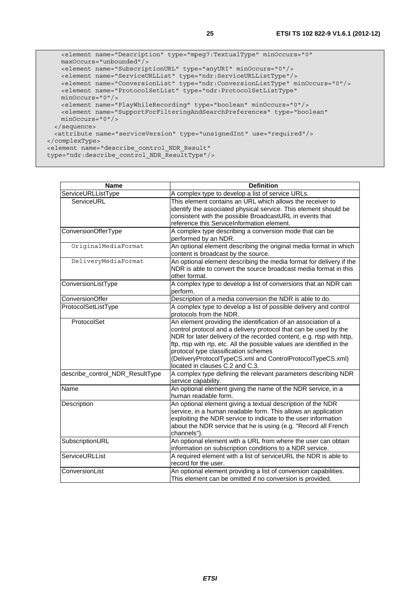```
 <element name="Description" type="mpeg7:TextualType" minOccurs="0" 
      maxOccurs="unbounded"/> 
      <element name="SubscriptionURL" type="anyURI" minOccurs="0"/> 
      <element name="ServiceURLList" type="ndr:ServiceURLListType"/> 
 <element name="ConversionList" type="ndr:ConversionListType" minOccurs="0"/> 
 <element name="ProtocolSetList" type="ndr:ProtocolSetListType" 
      minOccurs="0"/> 
      <element name="PlayWhileRecording" type="boolean" minOccurs="0"/> 
      <element name="SupportForFilteringAndSearchPreferences" type="boolean" 
      minOccurs="0"/> 
    </sequence> 
    <attribute name="serviceVersion" type="unsignedInt" use="required"/> 
  </complexType> 
  <element name="describe_control_NDR_Result"
```

```
 type="ndr:describe_control_NDR_ResultType"/>
```

| <b>Name</b>                     | <b>Definition</b>                                                                                                                                                                                                                                                                                                                                                                                                             |
|---------------------------------|-------------------------------------------------------------------------------------------------------------------------------------------------------------------------------------------------------------------------------------------------------------------------------------------------------------------------------------------------------------------------------------------------------------------------------|
| ServiceURLListType              | A complex type to develop a list of service URLs.                                                                                                                                                                                                                                                                                                                                                                             |
| ServiceURL                      | This element contains an URL which allows the receiver to<br>identify the associated physical service. This element should be<br>consistent with the possible BroadcastURL in events that<br>reference this ServiceInformation element.                                                                                                                                                                                       |
| ConversionOfferType             | A complex type describing a conversion mode that can be<br>performed by an NDR.                                                                                                                                                                                                                                                                                                                                               |
| OriginalMediaFormat             | An optional element describing the original media format in which<br>content is broadcast by the source.                                                                                                                                                                                                                                                                                                                      |
| DeliveryMediaFormat             | An optional element describing the media format for delivery if the<br>NDR is able to convert the source broadcast media format in this<br>other format.                                                                                                                                                                                                                                                                      |
| ConversionListType              | A complex type to develop a list of conversions that an NDR can<br>perform.                                                                                                                                                                                                                                                                                                                                                   |
| ConversionOffer                 | Description of a media conversion the NDR is able to do.                                                                                                                                                                                                                                                                                                                                                                      |
| ProtocolSetListType             | A complex type to develop a list of possible delivery and control<br>protocols from the NDR.                                                                                                                                                                                                                                                                                                                                  |
| ProtocolSet                     | An element providing the identification of an association of a<br>control protocol and a delivery protocol that can be used by the<br>NDR for later delivery of the recorded content, e.g. rtsp with http,<br>ftp, rtsp with rtp, etc. All the possible values are identified in the<br>protocol type classification schemes<br>(DeliveryProtocolTypeCS.xml and ControlProtocolTypeCS.xml)<br>located in clauses C.2 and C.3. |
| describe_control_NDR_ResultType | A complex type defining the relevant parameters describing NDR<br>service capability.                                                                                                                                                                                                                                                                                                                                         |
| Name                            | An optional element giving the name of the NDR service, in a<br>human readable form.                                                                                                                                                                                                                                                                                                                                          |
| Description                     | An optional element giving a textual description of the NDR<br>service, in a human readable form. This allows an application<br>exploiting the NDR service to indicate to the user information<br>about the NDR service that he is using (e.g. "Record all French<br>channels").                                                                                                                                              |
| SubscriptionURL                 | An optional element with a URL from where the user can obtain<br>information on subscription conditions to a NDR service.                                                                                                                                                                                                                                                                                                     |
| ServiceURLList                  | A required element with a list of serviceURL the NDR is able to<br>record for the user.                                                                                                                                                                                                                                                                                                                                       |
| ConversionList                  | An optional element providing a list of conversion capabilities.<br>This element can be omitted if no conversion is provided.                                                                                                                                                                                                                                                                                                 |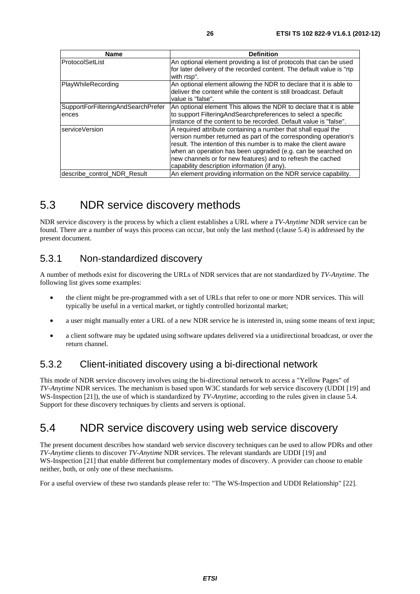| <b>Name</b>                                 | <b>Definition</b>                                                                                                                                                                                                                                                                                                                                                                    |
|---------------------------------------------|--------------------------------------------------------------------------------------------------------------------------------------------------------------------------------------------------------------------------------------------------------------------------------------------------------------------------------------------------------------------------------------|
| ProtocolSetList                             | An optional element providing a list of protocols that can be used<br>for later delivery of the recorded content. The default value is "rtp<br>with rtsp".                                                                                                                                                                                                                           |
| PlayWhileRecording                          | An optional element allowing the NDR to declare that it is able to<br>deliver the content while the content is still broadcast. Default<br>value is "false".                                                                                                                                                                                                                         |
| SupportForFilteringAndSearchPrefer<br>ences | An optional element This allows the NDR to declare that it is able<br>to support FilteringAndSearchpreferences to select a specific<br>linstance of the content to be recorded. Default value is "false".                                                                                                                                                                            |
| serviceVersion                              | A required attribute containing a number that shall equal the<br>version number returned as part of the corresponding operation's<br>result. The intention of this number is to make the client aware<br>when an operation has been upgraded (e.g. can be searched on<br>new channels or for new features) and to refresh the cached<br>capability description information (if any). |
| describe_control_NDR_Result                 | An element providing information on the NDR service capability.                                                                                                                                                                                                                                                                                                                      |

### 5.3 NDR service discovery methods

NDR service discovery is the process by which a client establishes a URL where a *TV-Anytime* NDR service can be found. There are a number of ways this process can occur, but only the last method (clause 5.4) is addressed by the present document.

### 5.3.1 Non-standardized discovery

A number of methods exist for discovering the URLs of NDR services that are not standardized by *TV-Anytime*. The following list gives some examples:

- the client might be pre-programmed with a set of URLs that refer to one or more NDR services. This will typically be useful in a vertical market, or tightly controlled horizontal market;
- a user might manually enter a URL of a new NDR service he is interested in, using some means of text input;
- a client software may be updated using software updates delivered via a unidirectional broadcast, or over the return channel.

### 5.3.2 Client-initiated discovery using a bi-directional network

This mode of NDR service discovery involves using the bi-directional network to access a "Yellow Pages" of *TV-Anytime* NDR services. The mechanism is based upon W3C standards for web service discovery (UDDI [19] and WS-Inspection [21]), the use of which is standardized by *TV-Anytime*, according to the rules given in clause 5.4. Support for these discovery techniques by clients and servers is optional.

### 5.4 NDR service discovery using web service discovery

The present document describes how standard web service discovery techniques can be used to allow PDRs and other *TV-Anytime* clients to discover *TV-Anytime* NDR services. The relevant standards are UDDI [19] and WS*-*Inspection [21] that enable different but complementary modes of discovery. A provider can choose to enable neither, both, or only one of these mechanisms.

For a useful overview of these two standards please refer to: "The WS-Inspection and UDDI Relationship" [22].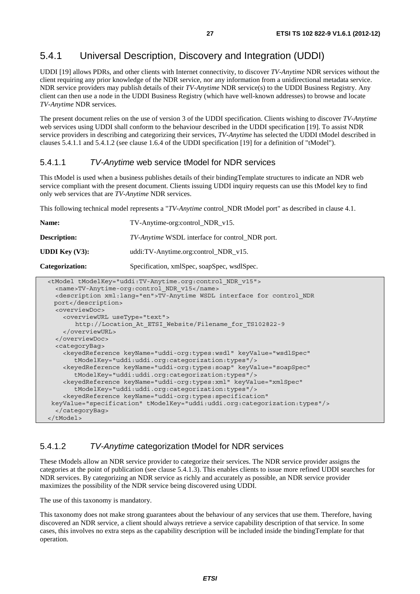### 5.4.1 Universal Description, Discovery and Integration (UDDI)

UDDI [19] allows PDRs, and other clients with Internet connectivity, to discover *TV-Anytime* NDR services without the client requiring any prior knowledge of the NDR service, nor any information from a unidirectional metadata service. NDR service providers may publish details of their *TV-Anytime* NDR service(s) to the UDDI Business Registry. Any client can then use a node in the UDDI Business Registry (which have well-known addresses) to browse and locate *TV-Anytime* NDR services.

The present document relies on the use of version 3 of the UDDI specification. Clients wishing to discover *TV-Anytime* web services using UDDI shall conform to the behaviour described in the UDDI specification [19]. To assist NDR service providers in describing and categorizing their services, *TV-Anytime* has selected the UDDI tModel described in clauses 5.4.1.1 and 5.4.1.2 (see clause 1.6.4 of the UDDI specification [19] for a definition of "tModel").

#### 5.4.1.1 *TV-Anytime* web service tModel for NDR services

This tModel is used when a business publishes details of their bindingTemplate structures to indicate an NDR web service compliant with the present document. Clients issuing UDDI inquiry requests can use this tModel key to find only web services that are *TV-Anytime* NDR services.

This following technical model represents a "*TV-Anytime* control\_NDR tModel port" as described in clause 4.1.

| Name:                                                                                                                                                                                                                                         | TV-Anytime-org:control_NDR_v15.                        |  |
|-----------------------------------------------------------------------------------------------------------------------------------------------------------------------------------------------------------------------------------------------|--------------------------------------------------------|--|
| <b>Description:</b>                                                                                                                                                                                                                           | <i>TV-Anytime</i> WSDL interface for control NDR port. |  |
| <b>UDDI</b> Key $(V3)$ :                                                                                                                                                                                                                      | uddi:TV-Anytime.org:control_NDR_v15.                   |  |
| Categorization:                                                                                                                                                                                                                               | Specification, xmlSpec, soapSpec, wsdlSpec.            |  |
| <tmodel tmodelkey="uddi:TV-Anytime.org:control NDR v15"><br/><name>TV-Anytime-org:control NDR v15</name><br/><description xml:lang="en">TV-Anytime WSDL interface for control NDR<br/><math>n^+</math> / degenerations</description></tmodel> |                                                        |  |

```
prt</descrip
   <overviewDoc> 
     <overviewURL useType="text"> 
        http://Location_At_ETSI_Website/Filename_for_TS102822-9 
     </overviewURL> 
   </overviewDoc> 
   <categoryBag> 
     <keyedReference keyName="uddi-org:types:wsdl" keyValue="wsdlSpec" 
        tModelKey="uddi:uddi.org:categorization:types"/> 
     <keyedReference keyName="uddi-org:types:soap" keyValue="soapSpec" 
        tModelKey="uddi:uddi.org:categorization:types"/> 
     <keyedReference keyName="uddi-org:types:xml" keyValue="xmlSpec" 
        tModelKey="uddi:uddi.org:categorization:types"/> 
     <keyedReference keyName="uddi-org:types:specification" 
 keyValue="specification" tModelKey="uddi:uddi.org:categorization:types"/> 
   </categoryBag> 
 </tModel>
```
#### 5.4.1.2 *TV-Anytime* categorization tModel for NDR services

These tModels allow an NDR service provider to categorize their services. The NDR service provider assigns the categories at the point of publication (see clause 5.4.1.3). This enables clients to issue more refined UDDI searches for NDR services. By categorizing an NDR service as richly and accurately as possible, an NDR service provider maximizes the possibility of the NDR service being discovered using UDDI.

The use of this taxonomy is mandatory.

This taxonomy does not make strong guarantees about the behaviour of any services that use them. Therefore, having discovered an NDR service, a client should always retrieve a service capability description of that service. In some cases, this involves no extra steps as the capability description will be included inside the bindingTemplate for that operation.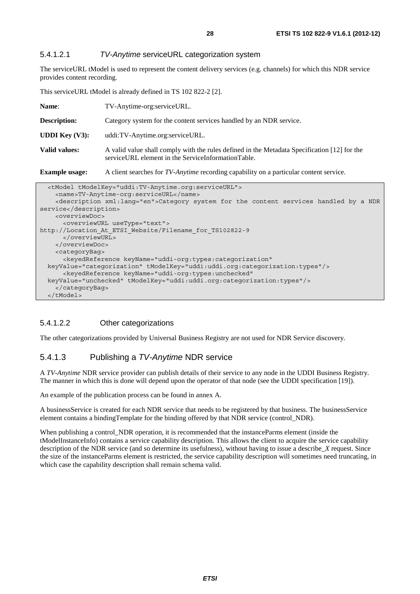#### 5.4.1.2.1 *TV-Anytime* serviceURL categorization system

The serviceURL tModel is used to represent the content delivery services (e.g. channels) for which this NDR service provides content recording.

This serviceURL tModel is already defined in TS 102 822-2 [2].

| Name:                    | TV-Anytime-org:serviceURL.                                                                                                                         |  |
|--------------------------|----------------------------------------------------------------------------------------------------------------------------------------------------|--|
| <b>Description:</b>      | Category system for the content services handled by an NDR service.                                                                                |  |
| <b>UDDI</b> Key $(V3)$ : | uddi:TV-Anytime.org:serviceURL.                                                                                                                    |  |
| Valid values:            | A valid value shall comply with the rules defined in the Metadata Specification [12] for the<br>serviceURL element in the ServiceInformationTable. |  |
| <b>Example usage:</b>    | A client searches for <i>TV-Anytime</i> recording capability on a particular content service.                                                      |  |

| <tmodel tmodelkey="uddi:TV-Anytime.org:serviceURL"></tmodel>                                       |
|----------------------------------------------------------------------------------------------------|
| <name>TV-Anytime-org:serviceURL</name>                                                             |
| <description xml:lang="en">Category system for the content services handled by a NDR</description> |
| service                                                                                            |
| <overviewdoc></overviewdoc>                                                                        |
| <overviewurl usetype="text"></overviewurl>                                                         |
| http://Location At ETSI Website/Filename for TS102822-9                                            |
|                                                                                                    |
|                                                                                                    |
| <categorybag></categorybag>                                                                        |
| <keyedreference <="" keyname="uddi-org:types:categorization" td=""></keyedreference>               |
| keyValue="categorization" tModelKey="uddi:uddi.org:categorization:types"/>                         |
| <keyedreference <="" keyname="uddi-org:types:unchecked" td=""></keyedreference>                    |
| keyValue="unchecked" tModelKey="uddi:uddi.org:categorization:types"/>                              |
|                                                                                                    |
| $\langle$ /tModel>                                                                                 |

#### 5.4.1.2.2 Other categorizations

The other categorizations provided by Universal Business Registry are not used for NDR Service discovery.

#### 5.4.1.3 Publishing a *TV-Anytime* NDR service

A *TV-Anytime* NDR service provider can publish details of their service to any node in the UDDI Business Registry. The manner in which this is done will depend upon the operator of that node (see the UDDI specification [19]).

An example of the publication process can be found in annex A.

A businessService is created for each NDR service that needs to be registered by that business. The businessService element contains a bindingTemplate for the binding offered by that NDR service (control\_NDR).

When publishing a control\_NDR operation, it is recommended that the instanceParms element (inside the tModelInstanceInfo) contains a service capability description. This allows the client to acquire the service capability description of the NDR service (and so determine its usefulness), without having to issue a describe\_*X* request. Since the size of the instanceParms element is restricted, the service capability description will sometimes need truncating, in which case the capability description shall remain schema valid.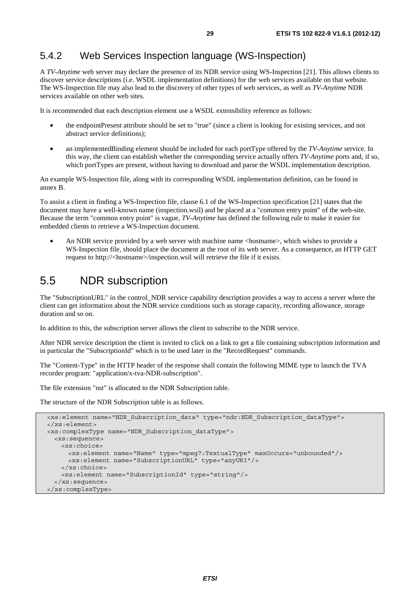### 5.4.2 Web Services Inspection language (WS-Inspection)

A *TV-Anytime* web server may declare the presence of its NDR service using WS-Inspection [21]. This allows clients to discover service descriptions (i.e. WSDL implementation definitions) for the web services available on that website. The WS-Inspection file may also lead to the discovery of other types of web services, as well as *TV-Anytime* NDR services available on other web sites.

It is recommended that each description element use a WSDL extensibility reference as follows:

- the endpointPresent attribute should be set to "true" (since a client is looking for existing services, and not abstract service definitions);
- an implementedBinding element should be included for each portType offered by the *TV-Anytime* service. In this way, the client can establish whether the corresponding service actually offers *TV-Anytime* ports and, if so, which portTypes are present, without having to download and parse the WSDL implementation description.

An example WS-Inspection file, along with its corresponding WSDL implementation definition, can be found in annex B.

To assist a client in finding a WS-Inspection file, clause 6.1 of the WS-Inspection specification [21] states that the document may have a well-known name (inspection.wsil) and be placed at a "common entry point" of the web-site. Because the term "common entry point" is vague, *TV-Anytime* has defined the following rule to make it easier for embedded clients to retrieve a WS-Inspection document.

An NDR service provided by a web server with machine name <hostname>, which wishes to provide a WS*-*Inspection file, should place the document at the root of its web server. As a consequence, an HTTP GET request to http://<hostname>/inspection.wsil will retrieve the file if it exists.

### 5.5 NDR subscription

The "SubscriptionURL" in the control\_NDR service capability description provides a way to access a server where the client can get information about the NDR service conditions such as storage capacity, recording allowance, storage duration and so on.

In addition to this, the subscription server allows the client to subscribe to the NDR service.

After NDR service description the client is invited to click on a link to get a file containing subscription information and in particular the "SubscriptionId" which is to be used later in the "RecordRequest" commands.

The "Content-Type" in the HTTP header of the response shall contain the following MIME type to launch the TVA recorder program: "application/x-tva-NDR-subscription".

The file extension "nst" is allocated to the NDR Subscription table.

The structure of the NDR Subscription table is as follows.

```
 <xs:element name="NDR_Subscription_data" type="ndr:NDR_Subscription_dataType"> 
 </xs:element> 
 <xs:complexType name="NDR_Subscription_dataType"> 
  <xs:sequence> 
    <xs:choice> 
      <xs:element name="Name" type="mpeg7:TextualType" maxOccurs="unbounded"/> 
      <xs:element name="SubscriptionURL" type="anyURI"/> 
    </xs:choice> 
     <xs:element name="SubscriptionId" type="string"/> 
  </xs:sequence> 
 </xs:complexType>
```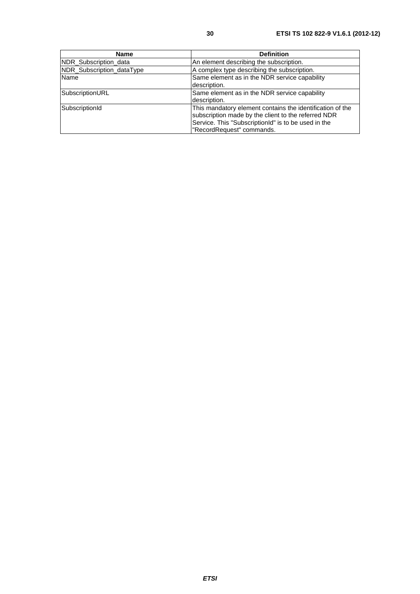| Name                      | <b>Definition</b>                                                                                                                                                                                    |
|---------------------------|------------------------------------------------------------------------------------------------------------------------------------------------------------------------------------------------------|
| NDR_Subscription_data     | An element describing the subscription.                                                                                                                                                              |
| NDR Subscription dataType | A complex type describing the subscription.                                                                                                                                                          |
| <b>Name</b>               | Same element as in the NDR service capability<br>description.                                                                                                                                        |
| SubscriptionURL           | Same element as in the NDR service capability<br>description.                                                                                                                                        |
| SubscriptionId            | This mandatory element contains the identification of the<br>subscription made by the client to the referred NDR<br>Service. This "SubscriptionId" is to be used in the<br>"RecordRequest" commands. |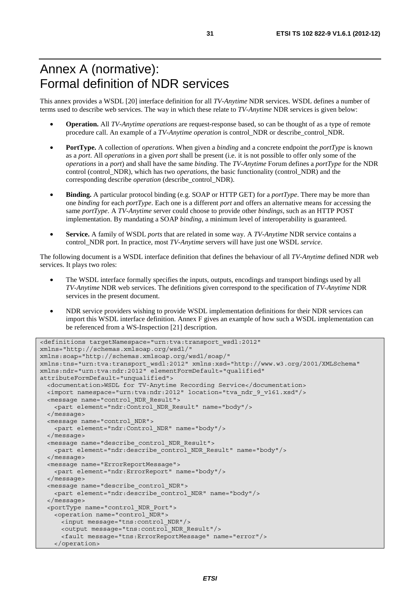# Annex A (normative): Formal definition of NDR services

This annex provides a WSDL [20] interface definition for all *TV-Anytime* NDR services. WSDL defines a number of terms used to describe web services. The way in which these relate to *TV-Anytime* NDR services is given below:

- **Operation.** All *TV-Anytime operations* are request-response based, so can be thought of as a type of remote procedure call. An example of a *TV-Anytime operation* is control\_NDR or describe\_control\_NDR.
- **PortType.** A collection of *operations*. When given a *binding* and a concrete endpoint the *portType* is known as a *port*. All *operations* in a given *port* shall be present (i.e. it is not possible to offer only some of the *operations* in a *port*) and shall have the same *binding*. The *TV-Anytime* Forum defines a *portType* for the NDR control (control\_NDR), which has two *operations*, the basic functionality (control\_NDR) and the corresponding describe *operation* (describe\_control\_NDR).
- **Binding.** A particular protocol binding (e.g. SOAP or HTTP GET) for a *portType*. There may be more than one *binding* for each *portType*. Each one is a different *port* and offers an alternative means for accessing the same *portType*. A *TV-Anytime* server could choose to provide other *bindings*, such as an HTTP POST implementation. By mandating a SOAP *binding*, a minimum level of interoperability is guaranteed.
- **Service.** A family of WSDL *ports* that are related in some way. A *TV-Anytime* NDR service contains a control\_NDR port. In practice, most *TV-Anytime* servers will have just one WSDL *service*.

The following document is a WSDL interface definition that defines the behaviour of all *TV-Anytime* defined NDR web services. It plays two roles:

- The WSDL interface formally specifies the inputs, outputs, encodings and transport bindings used by all *TV-Anytime* NDR web services. The definitions given correspond to the specification of *TV-Anytime* NDR services in the present document.
- NDR service providers wishing to provide WSDL implementation definitions for their NDR services can import this WSDL interface definition. Annex F gives an example of how such a WSDL implementation can be referenced from a WS-Inspection [21] description.

```
<definitions targetNamespace="urn:tva:transport_wsdl:2012" 
xmlns="http://schemas.xmlsoap.org/wsdl/" 
xmlns:soap="http://schemas.xmlsoap.org/wsdl/soap/" 
xmlns:tns="urn:tva:transport_wsdl:2012" xmlns:xsd="http://www.w3.org/2001/XMLSchema" 
xmlns:ndr="urn:tva:ndr:2012" elementFormDefault="qualified" 
attributeFormDefault="unqualified"> 
   <documentation>WSDL for TV-Anytime Recording Service</documentation> 
   <import namespace="urn:tva:ndr:2012" location="tva_ndr_9_v161.xsd"/> 
   <message name="control_NDR_Result"> 
     <part element="ndr:Control_NDR_Result" name="body"/> 
   </message> 
   <message name="control_NDR"> 
    <part element="ndr:Control_NDR" name="body"/> 
   </message> 
   <message name="describe_control_NDR_Result"> 
    <part element="ndr:describe_control_NDR_Result" name="body"/> 
   </message> 
   <message name="ErrorReportMessage"> 
     <part element="ndr:ErrorReport" name="body"/> 
   </message> 
   <message name="describe_control_NDR"> 
    <part element="ndr:describe_control_NDR" name="body"/> 
   </message> 
   <portType name="control_NDR_Port"> 
    <operation name="control_NDR"> 
      <input message="tns:control_NDR"/> 
      <output message="tns:control_NDR_Result"/> 
       <fault message="tns:ErrorReportMessage" name="error"/> 
    </operation>
```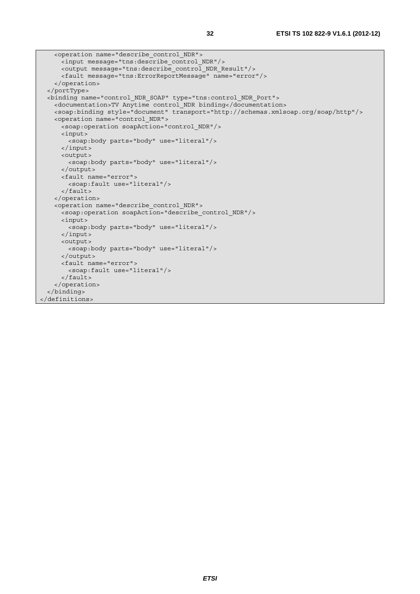```
 <operation name="describe_control_NDR"> 
      <input message="tns:describe_control_NDR"/> 
      <output message="tns:describe_control_NDR_Result"/> 
      <fault message="tns:ErrorReportMessage" name="error"/> 
    </operation> 
   </portType> 
  <binding name="control_NDR_SOAP" type="tns:control_NDR_Port"> 
    <documentation>TV Anytime control_NDR binding</documentation> 
    <soap:binding style="document" transport="http://schemas.xmlsoap.org/soap/http"/> 
    <operation name="control_NDR"> 
      <soap:operation soapAction="control_NDR"/> 
      <input> 
        <soap:body parts="body" use="literal"/> 
      </input> 
      <output> 
        <soap:body parts="body" use="literal"/> 
      </output> 
      <fault name="error"> 
        <soap:fault use="literal"/> 
      </fault> 
    </operation> 
    <operation name="describe_control_NDR"> 
     -<br><soap:operation soapAction="describe control NDR"/>
      <input> 
       <soap:body parts="body" use="literal"/>
      </input> 
      <output> 
        <soap:body parts="body" use="literal"/> 
      </output> 
      <fault name="error"> 
        <soap:fault use="literal"/> 
      </fault> 
     </operation> 
   </binding> 
</definitions>
```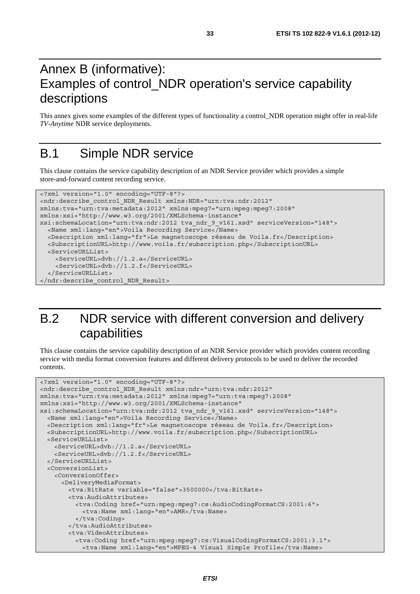# Annex B (informative): Examples of control\_NDR operation's service capability descriptions

This annex gives some examples of the different types of functionality a control\_NDR operation might offer in real*-*life *TV-Anytime* NDR service deployments.

# B.1 Simple NDR service

This clause contains the service capability description of an NDR Service provider which provides a simple store*-*and*-*forward content recording service.

```
<?xml version="1.0" encoding="UTF-8"?> 
<ndr:describe_control_NDR_Result xmlns:NDR="urn:tva:ndr:2012" 
xmlns:tva="urn:tva:metadata:2012" xmlns:mpeg7="urn:mpeg:mpeg7:2008" 
xmlns:xsi="http://www.w3.org/2001/XMLSchema-instance" 
xsi:schemaLocation="urn:tva:ndr:2012 tva_ndr_9_v161.xsd" serviceVersion="148"> 
   <Name xml:lang="en">Voila Recording Service</Name> 
   <Description xml:lang="fr">Le magnetoscope réseau de Voila.fr</Description> 
   <SubscriptionURL>http://www.voila.fr/subscription.php</SubscriptionURL> 
   <ServiceURLList> 
     <ServiceURL>dvb://1.2.a</ServiceURL> 
     <ServiceURL>dvb://1.2.f</ServiceURL> 
   </ServiceURLList> 
</ndr:describe_control_NDR_Result>
```
# B.2 NDR service with different conversion and delivery capabilities

This clause contains the service capability description of an NDR Service provider which provides content recording service with media format conversion features and different delivery protocols to be used to deliver the recorded contents.

```
<?xml version="1.0" encoding="UTF-8"?> 
<ndr:describe_control_NDR_Result xmlns:ndr="urn:tva:ndr:2012" 
xmlns:tva="urn:tva:metadata:2012" xmlns:mpeg7="urn:tva:mpeg7:2008" 
xmlns:xsi="http://www.w3.org/2001/XMLSchema-instance" 
xsi:schemaLocation="urn:tva:ndr:2012 tva_ndr_9_v161.xsd" serviceVersion="148"> 
   <Name xml:lang="en">Voila Recording Service</Name> 
   <Description xml:lang="fr">Le magnetoscope réseau de Voila.fr</Description> 
   <SubscriptionURL>http://www.voila.fr/subscription.php</SubscriptionURL> 
   <ServiceURLList> 
     <ServiceURL>dvb://1.2.a</ServiceURL> 
     <ServiceURL>dvb://1.2.f</ServiceURL> 
   </ServiceURLList> 
   <ConversionList> 
    <ConversionOffer> 
       <DeliveryMediaFormat> 
        <tva:BitRate variable="false">3500000</tva:BitRate> 
        <tva:AudioAttributes> 
          <tva:Coding href="urn:mpeg:mpeg7:cs:AudioCodingFormatCS:2001:6"> 
            <tva:Name xml:lang="en">AMR</tva:Name> 
           </tva:Coding> 
         </tva:AudioAttributes> 
         <tva:VideoAttributes> 
          <tva:Coding href="urn:mpeg:mpeg7:cs:VisualCodingFormatCS:2001:3.1"> 
            <tva:Name xml:lang="en">MPEG-4 Visual Simple Profile</tva:Name>
```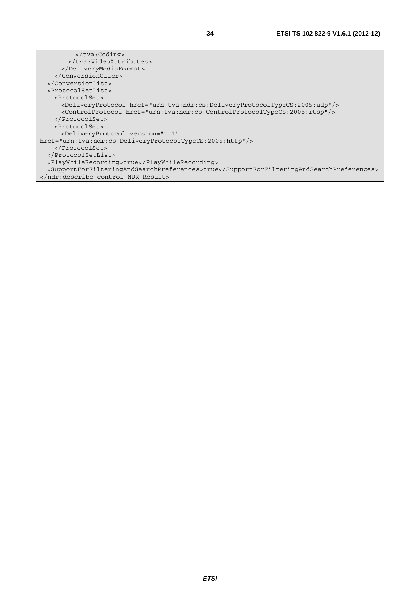</tva:Coding> </tva:VideoAttributes> </DeliveryMediaFormat> </ConversionOffer> </ConversionList> <ProtocolSetList> <ProtocolSet> <DeliveryProtocol href="urn:tva:ndr:cs:DeliveryProtocolTypeCS:2005:udp"/> <ControlProtocol href="urn:tva:ndr:cs:ControlProtocolTypeCS:2005:rtsp"/> </ProtocolSet> <ProtocolSet> <DeliveryProtocol version="1.1" href="urn:tva:ndr:cs:DeliveryProtocolTypeCS:2005:http"/> </ProtocolSet> </ProtocolSetList> <PlayWhileRecording>true</PlayWhileRecording> <SupportForFilteringAndSearchPreferences>true</SupportForFilteringAndSearchPreferences> </ndr:describe\_control\_NDR\_Result>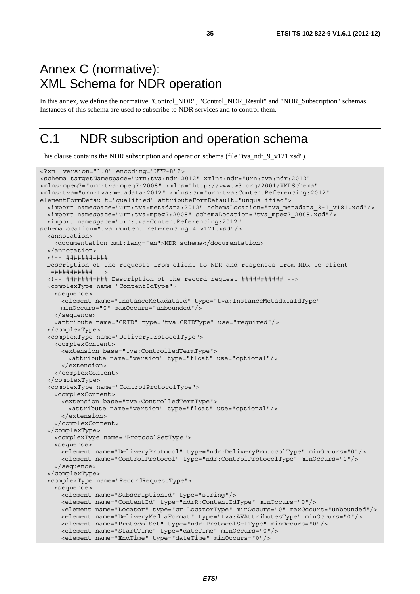# Annex C (normative): XML Schema for NDR operation

In this annex, we define the normative "Control\_NDR", "Control\_NDR\_Result" and "NDR\_Subscription" schemas. Instances of this schema are used to subscribe to NDR services and to control them.

# C.1 NDR subscription and operation schema

This clause contains the NDR subscription and operation schema (file "tva\_ndr\_9\_v121.xsd").

```
<?xml version="1.0" encoding="UTF-8"?> 
<schema targetNamespace="urn:tva:ndr:2012" xmlns:ndr="urn:tva:ndr:2012" 
xmlns:mpeg7="urn:tva:mpeg7:2008" xmlns="http://www.w3.org/2001/XMLSchema" 
xmlns:tva="urn:tva:metadata:2012" xmlns:cr="urn:tva:ContentReferencing:2012" 
elementFormDefault="qualified" attributeFormDefault="unqualified"> 
  <import namespace="urn:tva:metadata:2012" schemaLocation="tva_metadata_3-1_v181.xsd"/> 
  <import namespace="urn:tva:mpeg7:2008" schemaLocation="tva_mpeg7_2008.xsd"/> 
   <import namespace="urn:tva:ContentReferencing:2012" 
schemaLocation="tva_content_referencing_4_v171.xsd"/> 
   <annotation> 
    <documentation xml:lang="en">NDR schema</documentation> 
   </annotation> 
   <!-- ########### 
  Description of the requests from client to NDR and responses from NDR to client 
   ########### --> 
   <!-- ########### Description of the record request ########### --> 
   <complexType name="ContentIdType"> 
    <sequence> 
      <element name="InstanceMetadataId" type="tva:InstanceMetadataIdType" 
      minOccurs="0" maxOccurs="unbounded"/> 
    </sequence> 
    <attribute name="CRID" type="tva:CRIDType" use="required"/> 
   </complexType> 
   <complexType name="DeliveryProtocolType"> 
    <complexContent> 
      <extension base="tva:ControlledTermType"> 
        <attribute name="version" type="float" use="optional"/> 
       </extension> 
    </complexContent> 
   </complexType> 
   <complexType name="ControlProtocolType"> 
    <complexContent> 
      <extension base="tva:ControlledTermType"> 
         <attribute name="version" type="float" use="optional"/> 
       </extension> 
     </complexContent> 
   </complexType> 
    <complexType name="ProtocolSetType"> 
    <sequence> 
      <element name="DeliveryProtocol" type="ndr:DeliveryProtocolType" minOccurs="0"/> 
       <element name="ControlProtocol" type="ndr:ControlProtocolType" minOccurs="0"/> 
     </sequence> 
   </complexType> 
   <complexType name="RecordRequestType"> 
     <sequence> 
      <element name="SubscriptionId" type="string"/> 
       <element name="ContentId" type="ndrR:ContentIdType" minOccurs="0"/> 
      <element name="Locator" type="cr:LocatorType" minOccurs="0" maxOccurs="unbounded"/> 
      <element name="DeliveryMediaFormat" type="tva:AVAttributesType" minOccurs="0"/> 
      <element name="ProtocolSet" type="ndr:ProtocolSetType" minOccurs="0"/> 
      <element name="StartTime" type="dateTime" minOccurs="0"/> 
       <element name="EndTime" type="dateTime" minOccurs="0"/>
```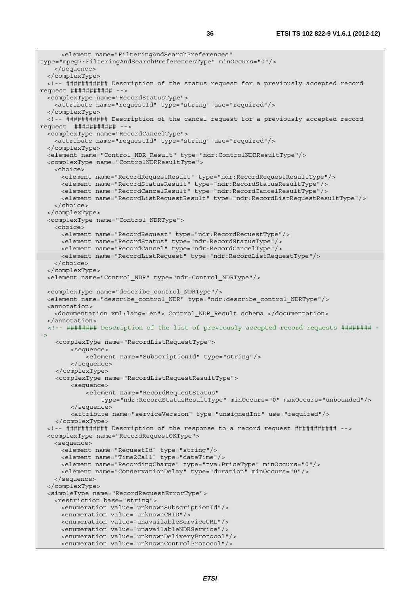```
 <element name="FilteringAndSearchPreferences" 
type="mpeg7:FilteringAndSearchPreferencesType" minOccurs="0"/> 
    </sequence> 
  </complexType> 
  <!-- ########### Description of the status request for a previously accepted record 
request ########### --> 
  <complexType name="RecordStatusType"> 
    <attribute name="requestId" type="string" use="required"/> 
  </complexType> 
  <!-- ########### Description of the cancel request for a previously accepted record 
request ########### --> 
  <complexType name="RecordCancelType"> 
    <attribute name="requestId" type="string" use="required"/> 
  </complexType> 
  <element name="Control_NDR_Result" type="ndr:ControlNDRResultType"/> 
  <complexType name="ControlNDRResultType"> 
    <choice> 
      <element name="RecordRequestResult" type="ndr:RecordRequestResultType"/> 
      <element name="RecordStatusResult" type="ndr:RecordStatusResultType"/> 
      <element name="RecordCancelResult" type="ndr:RecordCancelResultType"/> 
      <element name="RecordListRequestResult" type="ndr:RecordListRequestResultType"/> 
    </choice> 
   </complexType> 
  <complexType name="Control_NDRType"> 
    <choice> 
      <element name="RecordRequest" type="ndr:RecordRequestType"/> 
      <element name="RecordStatus" type="ndr:RecordStatusType"/> 
      <element name="RecordCancel" type="ndr:RecordCancelType"/> 
      <element name="RecordListRequest" type="ndr:RecordListRequestType"/> 
    </choice> 
   </complexType> 
  <element name="Control_NDR" type="ndr:Control_NDRType"/> 
  <complexType name="describe_control_NDRType"/> 
  <element name="describe_control_NDR" type="ndr:describe_control_NDRType"/> 
  <annotation> 
    <documentation xml:lang="en"> Control_NDR_Result schema </documentation> 
   </annotation> 
   <!-- ######## Description of the list of previously accepted record requests ######## -
->
     <complexType name="RecordListRequestType"> 
         <sequence> 
             <element name="SubscriptionId" type="string"/> 
         </sequence> 
     </complexType> 
     <complexType name="RecordListRequestResultType"> 
         <sequence> 
             <element name="RecordRequestStatus" 
                 type="ndr:RecordStatusResultType" minOccurs="0" maxOccurs="unbounded"/> 
         </sequence> 
         <attribute name="serviceVersion" type="unsignedInt" use="required"/> 
     </complexType> 
  <!-- ########### Description of the response to a record request ########### --> 
  <complexType name="RecordRequestOKType"> 
    <sequence> 
      <element name="RequestId" type="string"/> 
      <element name="Time2Call" type="dateTime"/> 
      <element name="RecordingCharge" type="tva:PriceType" minOccurs="0"/> 
      <element name="ConservationDelay" type="duration" minOccurs="0"/> 
    </sequence> 
   </complexType> 
  <simpleType name="RecordRequestErrorType"> 
    <restriction base="string"> 
      <enumeration value="unknownSubscriptionId"/> 
      <enumeration value="unknownCRID"/> 
      <enumeration value="unavailableServiceURL"/> 
      <enumeration value="unavailableNDRService"/> 
      <enumeration value="unknownDeliveryProtocol"/> 
      <enumeration value="unknownControlProtocol"/>
```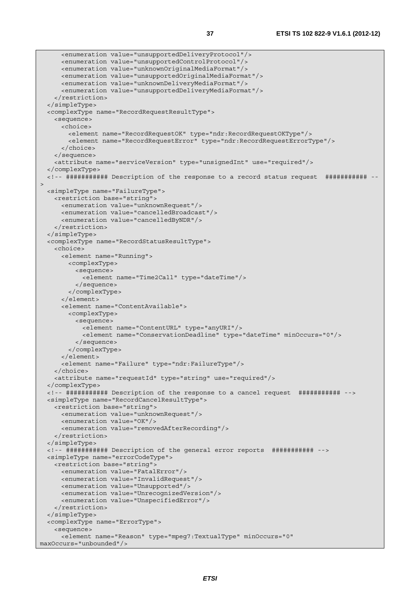```
 <enumeration value="unsupportedDeliveryProtocol"/> 
      <enumeration value="unsupportedControlProtocol"/> 
      <enumeration value="unknownOriginalMediaFormat"/> 
      <enumeration value="unsupportedOriginalMediaFormat"/> 
      <enumeration value="unknownDeliveryMediaFormat"/> 
       <enumeration value="unsupportedDeliveryMediaFormat"/> 
    </restriction> 
  </simpleType> 
  <complexType name="RecordRequestResultType"> 
    <sequence> 
      <choice> 
         <element name="RecordRequestOK" type="ndr:RecordRequestOKType"/> 
         <element name="RecordRequestError" type="ndr:RecordRequestErrorType"/> 
      </choice> 
    </sequence> 
     <attribute name="serviceVersion" type="unsignedInt" use="required"/> 
   </complexType> 
   <!-- ########### Description of the response to a record status request ########### --
\overline{\phantom{a}} <simpleType name="FailureType"> 
    <restriction base="string"> 
      <enumeration value="unknownRequest"/> 
      <enumeration value="cancelledBroadcast"/> 
      <enumeration value="cancelledByNDR"/> 
    </restriction> 
   </simpleType> 
   <complexType name="RecordStatusResultType"> 
     <choice> 
      <element name="Running"> 
        <complexType> 
          <sequence> 
            <element name="Time2Call" type="dateTime"/> 
           </sequence> 
        </complexType> 
      </element> 
       <element name="ContentAvailable"> 
         <complexType> 
          <sequence> 
             <element name="ContentURL" type="anyURI"/> 
             <element name="ConservationDeadline" type="dateTime" minOccurs="0"/> 
          </sequence> 
         </complexType> 
       </element> 
       <element name="Failure" type="ndr:FailureType"/> 
    </choice> 
    <attribute name="requestId" type="string" use="required"/> 
   </complexType> 
  <!-- ########### Description of the response to a cancel request ########### --> 
  <simpleType name="RecordCancelResultType"> 
    <restriction base="string"> 
      <enumeration value="unknownRequest"/> 
      <enumeration value="OK"/> 
      <enumeration value="removedAfterRecording"/> 
     </restriction> 
   </simpleType> 
   <!-- ########### Description of the general error reports ########### --> 
  <simpleType name="errorCodeType"> 
    <restriction base="string"> 
      <enumeration value="FatalError"/> 
      <enumeration value="InvalidRequest"/> 
      <enumeration value="Unsupported"/> 
      <enumeration value="UnrecognizedVersion"/> 
      <enumeration value="UnspecifiedError"/> 
    </restriction> 
   </simpleType> 
   <complexType name="ErrorType"> 
     <sequence> 
      <element name="Reason" type="mpeg7:TextualType" minOccurs="0" 
maxOccurs="unbounded"/>
```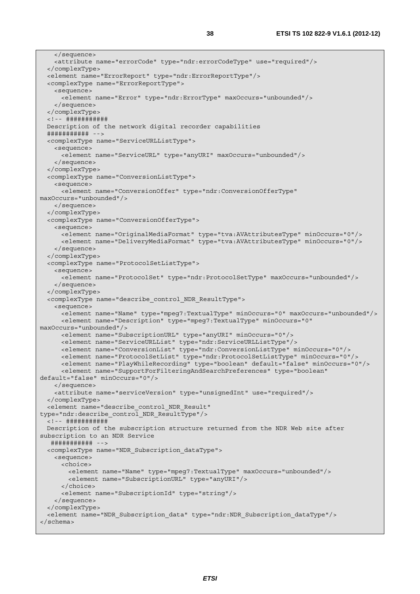```
 </sequence> 
     <attribute name="errorCode" type="ndr:errorCodeType" use="required"/> 
   </complexType> 
   <element name="ErrorReport" type="ndr:ErrorReportType"/> 
   <complexType name="ErrorReportType"> 
     <sequence> 
      <element name="Error" type="ndr:ErrorType" maxOccurs="unbounded"/> 
     </sequence> 
   </complexType> 
   <!-- ########### 
  Description of the network digital recorder capabilities 
   ########### --> 
   <complexType name="ServiceURLListType"> 
    <sequence> 
      <element name="ServiceURL" type="anyURI" maxOccurs="unbounded"/> 
     </sequence> 
   </complexType> 
   <complexType name="ConversionListType"> 
     <sequence> 
      <element name="ConversionOffer" type="ndr:ConversionOfferType" 
maxOccurs="unbounded"/> 
     </sequence> 
   </complexType> 
   <complexType name="ConversionOfferType"> 
     <sequence> 
      <element name="OriginalMediaFormat" type="tva:AVAttributesType" minOccurs="0"/> 
       <element name="DeliveryMediaFormat" type="tva:AVAttributesType" minOccurs="0"/> 
     </sequence> 
   </complexType> 
   <complexType name="ProtocolSetListType"> 
    <sequence> 
      <element name="ProtocolSet" type="ndr:ProtocolSetType" maxOccurs="unbounded"/> 
     </sequence> 
   </complexType> 
   <complexType name="describe_control_NDR_ResultType"> 
     <sequence> 
      <element name="Name" type="mpeg7:TextualType" minOccurs="0" maxOccurs="unbounded"/> 
      <element name="Description" type="mpeg7:TextualType" minOccurs="0" 
maxOccurs="unbounded"/> 
      <element name="SubscriptionURL" type="anyURI" minOccurs="0"/> 
      <element name="ServiceURLList" type="ndr:ServiceURLListType"/> 
      <element name="ConversionList" type="ndr:ConversionListType" minOccurs="0"/> 
      <element name="ProtocolSetList" type="ndr:ProtocolSetListType" minOccurs="0"/> 
      <element name="PlayWhileRecording" type="boolean" default="false" minOccurs="0"/> 
      <element name="SupportForFilteringAndSearchPreferences" type="boolean" 
default="false" minOccurs="0"/> 
     </sequence> 
     <attribute name="serviceVersion" type="unsignedInt" use="required"/> 
   </complexType> 
   <element name="describe_control_NDR_Result" 
type="ndr:describe_control_NDR_ResultType"/> 
   <!-- ########### 
  Description of the subscription structure returned from the NDR Web site after 
subscription to an NDR Service 
   ########### --> 
   <complexType name="NDR_Subscription_dataType"> 
    <sequence> 
      <choice> 
        <element name="Name" type="mpeg7:TextualType" maxOccurs="unbounded"/> 
         <element name="SubscriptionURL" type="anyURI"/> 
       </choice> 
      <element name="SubscriptionId" type="string"/> 
     </sequence> 
   </complexType> 
   <element name="NDR_Subscription_data" type="ndr:NDR_Subscription_dataType"/> 
</schema>
```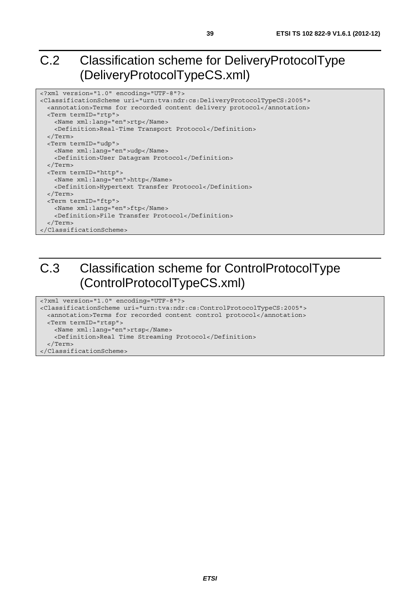# C.2 Classification scheme for DeliveryProtocolType (DeliveryProtocolTypeCS.xml)

```
<?xml version="1.0" encoding="UTF-8"?> 
<ClassificationScheme uri="urn:tva:ndr:cs:DeliveryProtocolTypeCS:2005"> 
  <annotation>Terms for recorded content delivery protocol</annotation> 
  <Term termID="rtp"> 
    <Name xml:lang="en">rtp</Name> 
    <Definition>Real-Time Transport Protocol</Definition> 
   </Term> 
  <Term termID="udp"> 
    <Name xml:lang="en">udp</Name> 
     <Definition>User Datagram Protocol</Definition> 
  </Term> 
  <Term termID="http"> 
    <Name xml:lang="en">http</Name> 
    <Definition>Hypertext Transfer Protocol</Definition> 
  </Term> 
  <Term termID="ftp"> 
    <Name xml:lang="en">ftp</Name> 
    <Definition>File Transfer Protocol</Definition> 
   </Term> 
</ClassificationScheme>
```
# C.3 Classification scheme for ControlProtocolType (ControlProtocolTypeCS.xml)

```
<?xml version="1.0" encoding="UTF-8"?> 
<ClassificationScheme uri="urn:tva:ndr:cs:ControlProtocolTypeCS:2005"> 
  <annotation>Terms for recorded content control protocol</annotation> 
  <Term termID="rtsp"> 
    <Name xml:lang="en">rtsp</Name> 
    <Definition>Real Time Streaming Protocol</Definition> 
   </Term> 
</ClassificationScheme>
```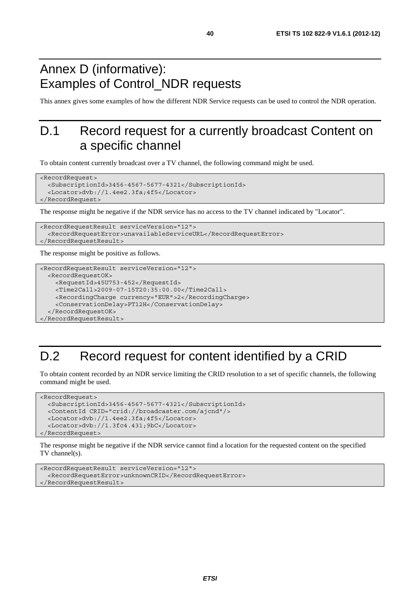# Annex D (informative): Examples of Control\_NDR requests

This annex gives some examples of how the different NDR Service requests can be used to control the NDR operation.

# D.1 Record request for a currently broadcast Content on a specific channel

To obtain content currently broadcast over a TV channel, the following command might be used.

```
<RecordRequest> 
   <SubscriptionId>3456-4567-5677-4321</SubscriptionId> 
   <Locator>dvb://1.4ee2.3fa;4f5</Locator> 
</RecordRequest>
```
The response might be negative if the NDR service has no access to the TV channel indicated by "Locator".

```
<RecordRequestResult serviceVersion="12"> 
   <RecordRequestError>unavailableServiceURL</RecordRequestError> 
</RecordRequestResult>
```
The response might be positive as follows.

```
<RecordRequestResult serviceVersion="12"> 
  <RecordRequestOK> 
     <RequestId>45U753-452</RequestId> 
     <Time2Call>2009-07-15T20:35:00.00</Time2Call> 
     <RecordingCharge currency="EUR">2</RecordingCharge> 
     <ConservationDelay>PT12H</ConservationDelay> 
   </RecordRequestOK> 
</RecordRequestResult>
```
# D.2 Record request for content identified by a CRID

To obtain content recorded by an NDR service limiting the CRID resolution to a set of specific channels, the following command might be used.

```
<RecordRequest> 
   <SubscriptionId>3456-4567-5677-4321</SubscriptionId> 
   <ContentId CRID="crid://broadcaster.com/ajcnd"/> 
   <Locator>dvb://1.4ee2.3fa;4f5</Locator> 
   <Locator>dvb://1.3fc4.431;9bC</Locator> 
</RecordRequest>
```
The response might be negative if the NDR service cannot find a location for the requested content on the specified TV channel(s).

```
<RecordRequestResult serviceVersion="12"> 
   <RecordRequestError>unknownCRID</RecordRequestError> 
</RecordRequestResult>
```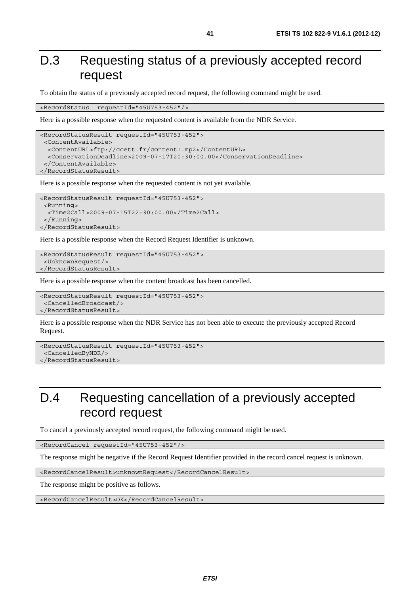# D.3 Requesting status of a previously accepted record request

To obtain the status of a previously accepted record request, the following command might be used.

<RecordStatus requestId="45U753-452"/>

Here is a possible response when the requested content is available from the NDR Service.

```
<RecordStatusResult requestId="45U753-452"> 
  <ContentAvailable> 
   <ContentURL>ftp://ccett.fr/content1.mp2</ContentURL> 
   <ConservationDeadline>2009-07-17T20:30:00.00</ConservationDeadline> 
  </ContentAvailable> 
</RecordStatusResult>
```
Here is a possible response when the requested content is not yet available.

```
<RecordStatusResult requestId="45U753-452"> 
  <Running> 
   <Time2Call>2009-07-15T22:30:00.00</Time2Call> 
  </Running> 
</RecordStatusResult>
```
Here is a possible response when the Record Request Identifier is unknown.

```
<RecordStatusResult requestId="45U753-452"> 
  <UnknownRequest/> 
</RecordStatusResult>
```
Here is a possible response when the content broadcast has been cancelled.

```
<RecordStatusResult requestId="45U753-452"> 
  <CancelledBroadcast/> 
</RecordStatusResult>
```
Here is a possible response when the NDR Service has not been able to execute the previously accepted Record Request.

```
<RecordStatusResult requestId="45U753-452"> 
  <CancelledByNDR/> 
</RecordStatusResult>
```
# D.4 Requesting cancellation of a previously accepted record request

To cancel a previously accepted record request, the following command might be used.

<RecordCancel requestId="45U753-452"/>

The response might be negative if the Record Request Identifier provided in the record cancel request is unknown.

<RecordCancelResult>unknownRequest</RecordCancelResult>

The response might be positive as follows.

<RecordCancelResult>OK</RecordCancelResult>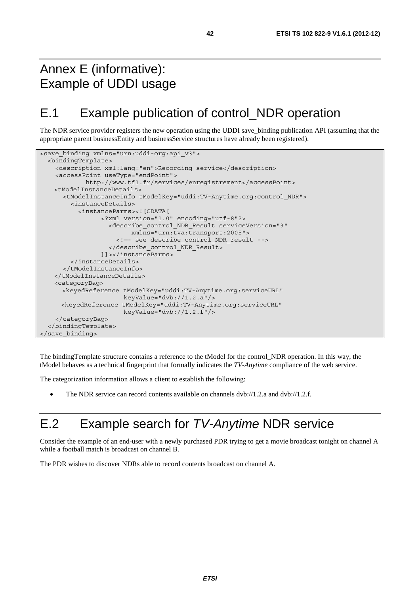# Annex E (informative): Example of UDDI usage

# E.1 Example publication of control\_NDR operation

The NDR service provider registers the new operation using the UDDI save\_binding publication API (assuming that the appropriate parent businessEntity and businessService structures have already been registered).

```
<save binding xmlns="urn:uddi-org:api v3">
   <bindingTemplate> 
     <description xml:lang="en">Recording service</description> 
     <accessPoint useType="endPoint"> 
             http://www.tf1.fr/services/enregistrement</accessPoint> 
    <tModelInstanceDetails> 
       <tModelInstanceInfo tModelKey="uddi:TV-Anytime.org:control_NDR"> 
         <instanceDetails> 
           <instanceParms><![CDATA[ 
                  <?xml version="1.0" encoding="utf-8"?> 
                    <describe_control_NDR_Result serviceVersion="3" 
                          xmlns="urn:tva:transport:2005"> 
                      <!—- see describe_control_NDR_result --> 
                    </describe_control_NDR_Result> 
                  ]]></instanceParms> 
         </instanceDetails> 
       </tModelInstanceInfo> 
    </tModelInstanceDetails> 
    <categoryBag> 
       <keyedReference tModelKey="uddi:TV-Anytime.org:serviceURL" 
                        keyValue="dvb://1.2.a"/> 
       <keyedReference tModelKey="uddi:TV-Anytime.org:serviceURL" 
                        keyValue="dvb://1.2.f"/> 
     </categoryBag> 
   </bindingTemplate> 
</save_binding>
```
The bindingTemplate structure contains a reference to the tModel for the control\_NDR operation. In this way, the tModel behaves as a technical fingerprint that formally indicates the *TV-Anytime* compliance of the web service.

The categorization information allows a client to establish the following:

• The NDR service can record contents available on channels dvb://1.2.a and dvb://1.2.f.

# E.2 Example search for *TV-Anytime* NDR service

Consider the example of an end-user with a newly purchased PDR trying to get a movie broadcast tonight on channel A while a football match is broadcast on channel B.

The PDR wishes to discover NDRs able to record contents broadcast on channel A.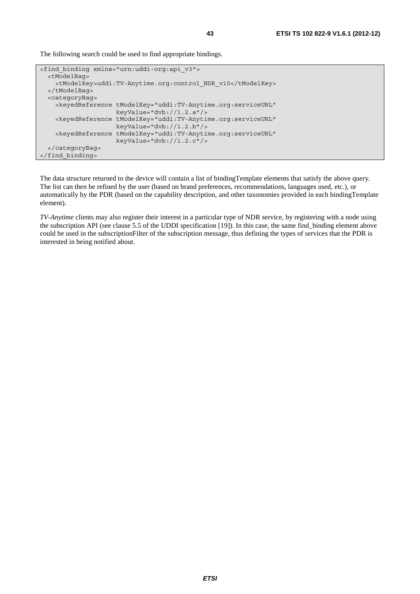The following search could be used to find appropriate bindings.

```
<find_binding xmlns="urn:uddi-org:api_v3"> 
   <tModelBag> 
     <tModelKey>uddi:TV-Anytime.org:control_NDR_v10</tModelKey> 
   </tModelBag> 
   <categoryBag> 
     <keyedReference tModelKey="uddi:TV-Anytime.org:serviceURL" 
                      keyValue="dvb://1.2.a"/> 
     <keyedReference tModelKey="uddi:TV-Anytime.org:serviceURL" 
                      keyValue="dvb://1.2.b"/> 
     <keyedReference tModelKey="uddi:TV-Anytime.org:serviceURL" 
                      keyValue="dvb://1.2.c"/> 
   </categoryBag> 
</find_binding>
```
The data structure returned to the device will contain a list of bindingTemplate elements that satisfy the above query. The list can then be refined by the user (based on brand preferences, recommendations, languages used, etc.), or automatically by the PDR (based on the capability description, and other taxonomies provided in each bindingTemplate element).

*TV-Anytime* clients may also register their interest in a particular type of NDR service, by registering with a node using the subscription API (see clause 5.5 of the UDDI specification [19]). In this case, the same find\_binding element above could be used in the subscriptionFilter of the subscription message, thus defining the types of services that the PDR is interested in being notified about.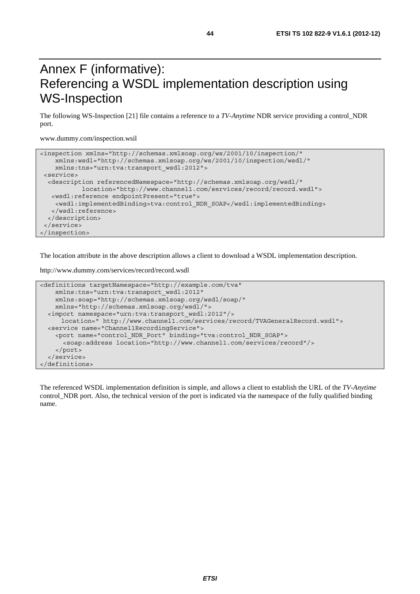# Annex F (informative): Referencing a WSDL implementation description using WS-Inspection

The following WS-Inspection [21] file contains a reference to a *TV-Anytime* NDR service providing a control\_NDR port.

www.dummy.com/inspection.wsil

```
<inspection xmlns="http://schemas.xmlsoap.org/ws/2001/10/inspection/" 
    xmlns:wsdl="http://schemas.xmlsoap.org/ws/2001/10/inspection/wsdl/" 
    xmlns:tns="urn:tva:transport_wsdl:2012"> 
 <service> 
   <description referencedNamespace="http://schemas.xmlsoap.org/wsdl/" 
            location="http://www.channel1.com/services/record/record.wsdl"> 
   <wsdl:reference endpointPresent="true"> 
    <wsdl:implementedBinding>tva:control_NDR_SOAP</wsdl:implementedBinding> 
    </wsdl:reference> 
  </description> 
  </service> 
</inspection>
```
The location attribute in the above description allows a client to download a WSDL implementation description.

http://www.dummy.com/services/record/record.wsdl

```
<definitions targetNamespace="http://example.com/tva" 
     xmlns:tns="urn:tva:transport_wsdl:2012" 
    xmlns:soap="http://schemas.xmlsoap.org/wsdl/soap/" 
     xmlns="http://schemas.xmlsoap.org/wsdl/"> 
   <import namespace="urn:tva:transport_wsdl:2012"/> 
      location=" http://www.channel1.com/services/record/TVAGeneralRecord.wsdl"> 
   <service name="Channel1RecordingService"> 
     <port name="control_NDR_Port" binding="tva:control_NDR_SOAP"> 
       <soap:address location="http://www.channel1.com/services/record"/> 
     </port> 
   </service> 
</definitions>
```
The referenced WSDL implementation definition is simple, and allows a client to establish the URL of the *TV-Anytime* control NDR port. Also, the technical version of the port is indicated via the namespace of the fully qualified binding name.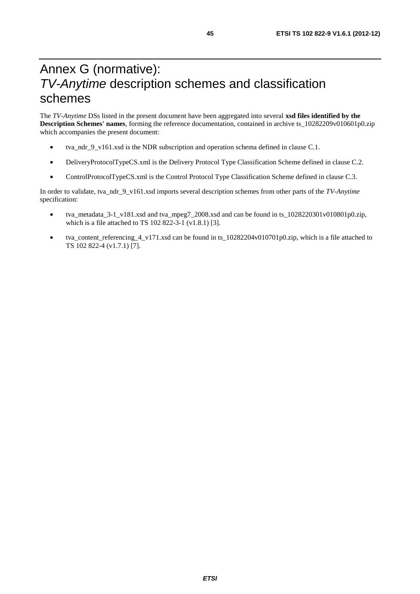# Annex G (normative): *TV-Anytime* description schemes and classification schemes

The *TV-Anytime* DSs listed in the present document have been aggregated into several **xsd files identified by the Description Schemes' names**, forming the reference documentation, contained in archive ts\_10282209v010601p0.zip which accompanies the present document:

- tva\_ndr\_9\_v161.xsd is the NDR subscription and operation schema defined in clause C.1.
- DeliveryProtocolTypeCS.xml is the Delivery Protocol Type Classification Scheme defined in clause C.2.
- ControlProtocolTypeCS.xml is the Control Protocol Type Classification Scheme defined in clause C.3.

In order to validate, tva\_ndr\_9\_v161.xsd imports several description schemes from other parts of the *TV-Anytime*  specification:

- tva\_metadata\_3-1\_v181.xsd and tva\_mpeg7\_2008.xsd and can be found in ts\_1028220301v010801p0.zip, which is a file attached to TS 102 822-3-1 (v1.8.1) [3].
- tva\_content\_referencing\_4\_v171.xsd can be found in ts\_10282204v010701p0.zip, which is a file attached to TS 102 822-4 (v1.7.1) [7].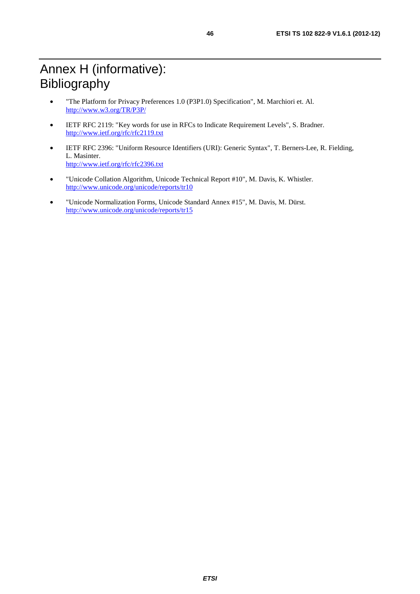- "The Platform for Privacy Preferences 1.0 (P3P1.0) Specification", M. Marchiori et. Al. <http://www.w3.org/TR/P3P/>
- IETF RFC 2119: "Key words for use in RFCs to Indicate Requirement Levels", S. Bradner. <http://www.ietf.org/rfc/rfc2119.txt>
- IETF RFC 2396: "Uniform Resource Identifiers (URI): Generic Syntax", T. Berners-Lee, R. Fielding, L. Masinter. <http://www.ietf.org/rfc/rfc2396.txt>
- "Unicode Collation Algorithm, Unicode Technical Report #10", M. Davis, K. Whistler. <http://www.unicode.org/unicode/reports/tr10>
- "Unicode Normalization Forms, Unicode Standard Annex #15", M. Davis, M. Dürst. <http://www.unicode.org/unicode/reports/tr15>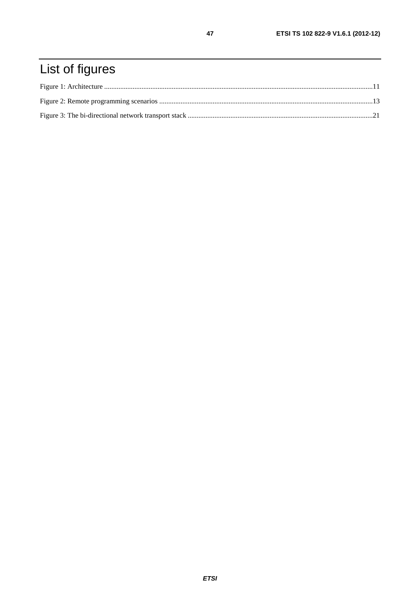# List of figures